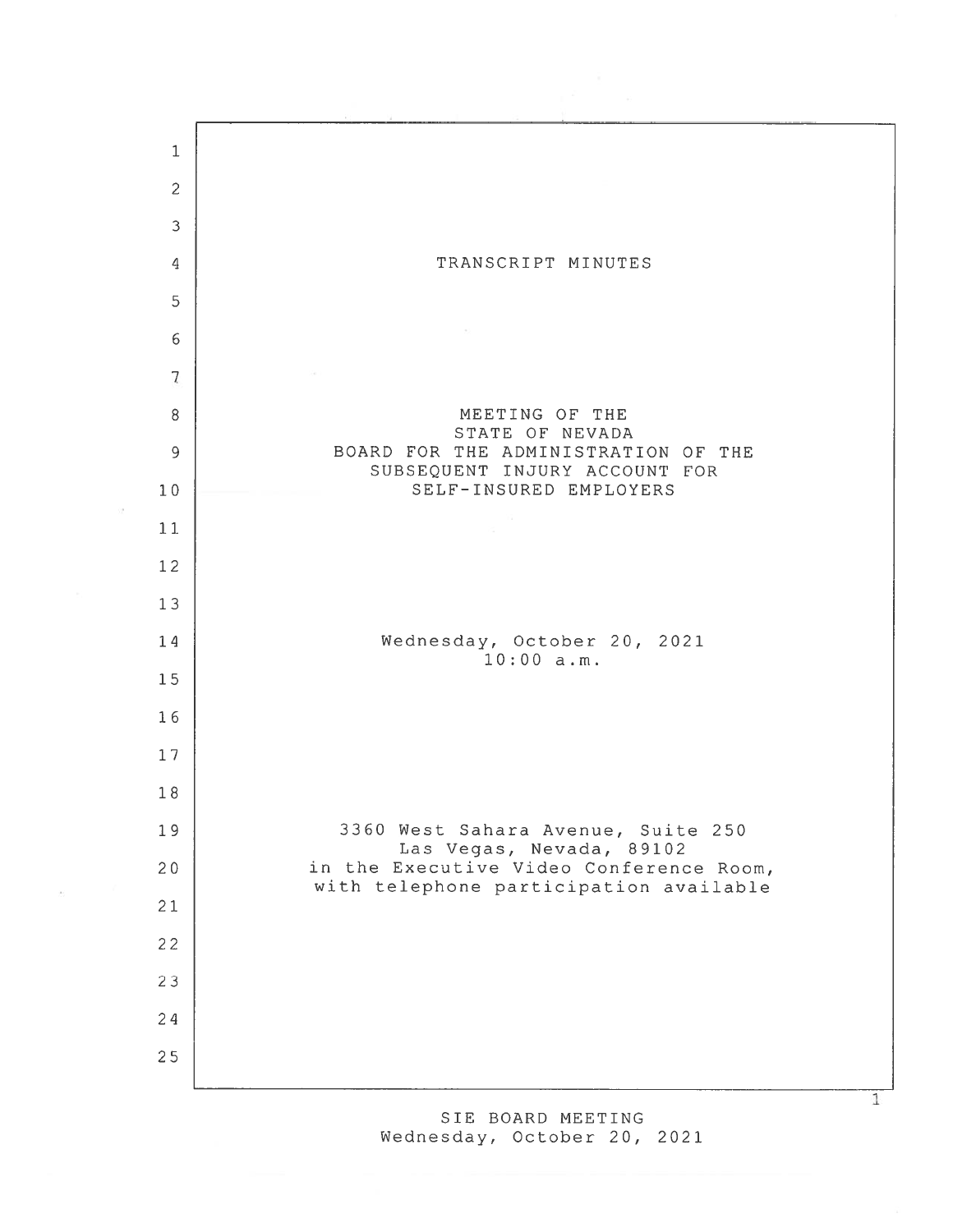

SIE BOARD MEETING Wednesday, October 20, 2021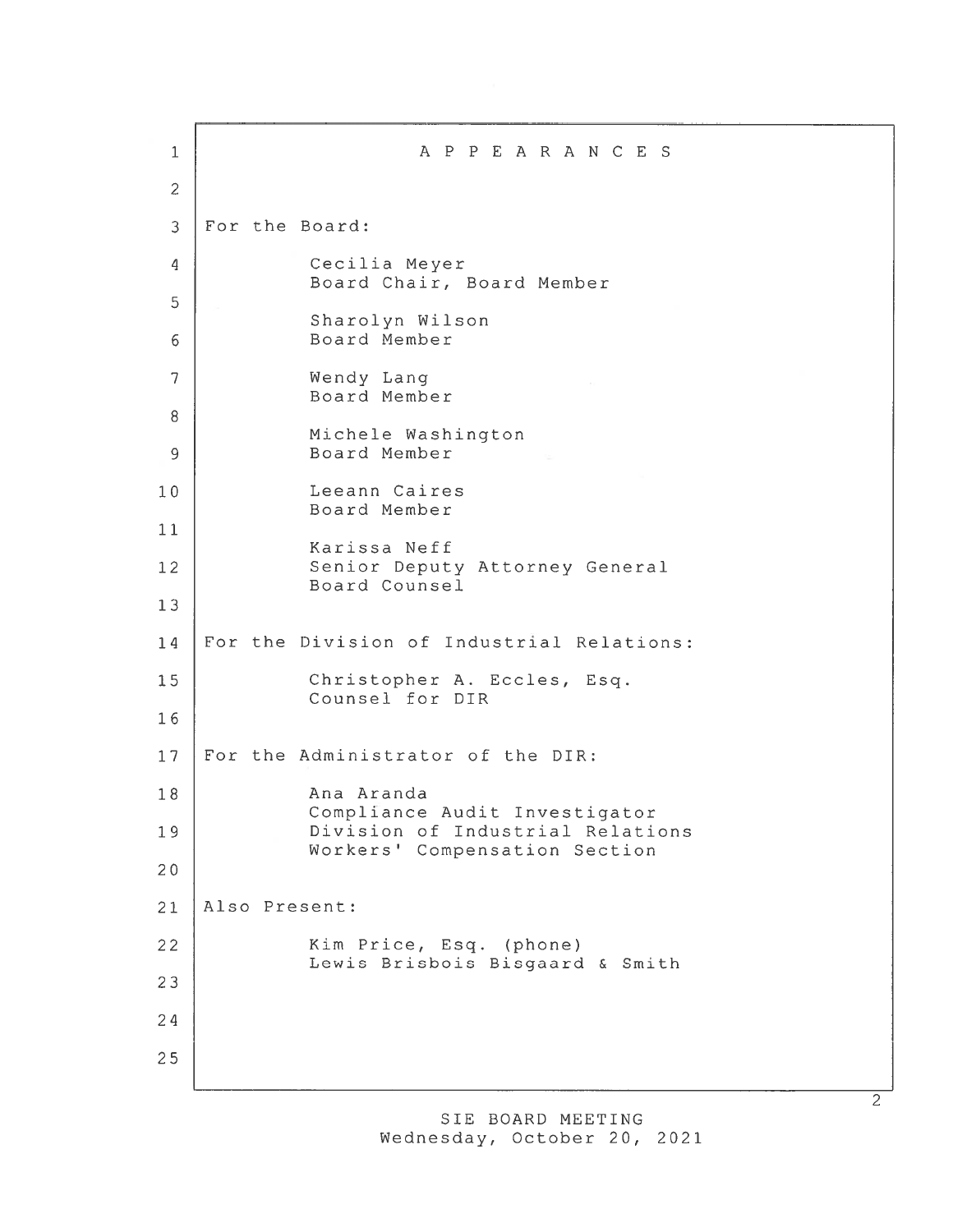1 APPEARANCES 2 3 For the Board: 4 Cecilia Meyer Board Chair, Board Member 5 Sharolyn Wilson 6 Board Member 7 Wendy Lang Board Member 8 Michele Washington 9 Board Member 10 Leeann Caires Board Member 11 Karissa Neff 12 Senior Deputy Attorney General Board Counsel 13 14 For the Division of Industrial Relations: 15 Christopher A. Eccies, Esq. Counsel for DIR 16 17 For the Administrator of the DIR: 18 Ana Aranda Compliance Audit Investigator 19 Division of Industrial Relations Workers' Compensation Section 20 21 Also Present: 22 | Kim Price, Esq. (phone) Lewis Brisbois Bisgaard & Smith 23 24 25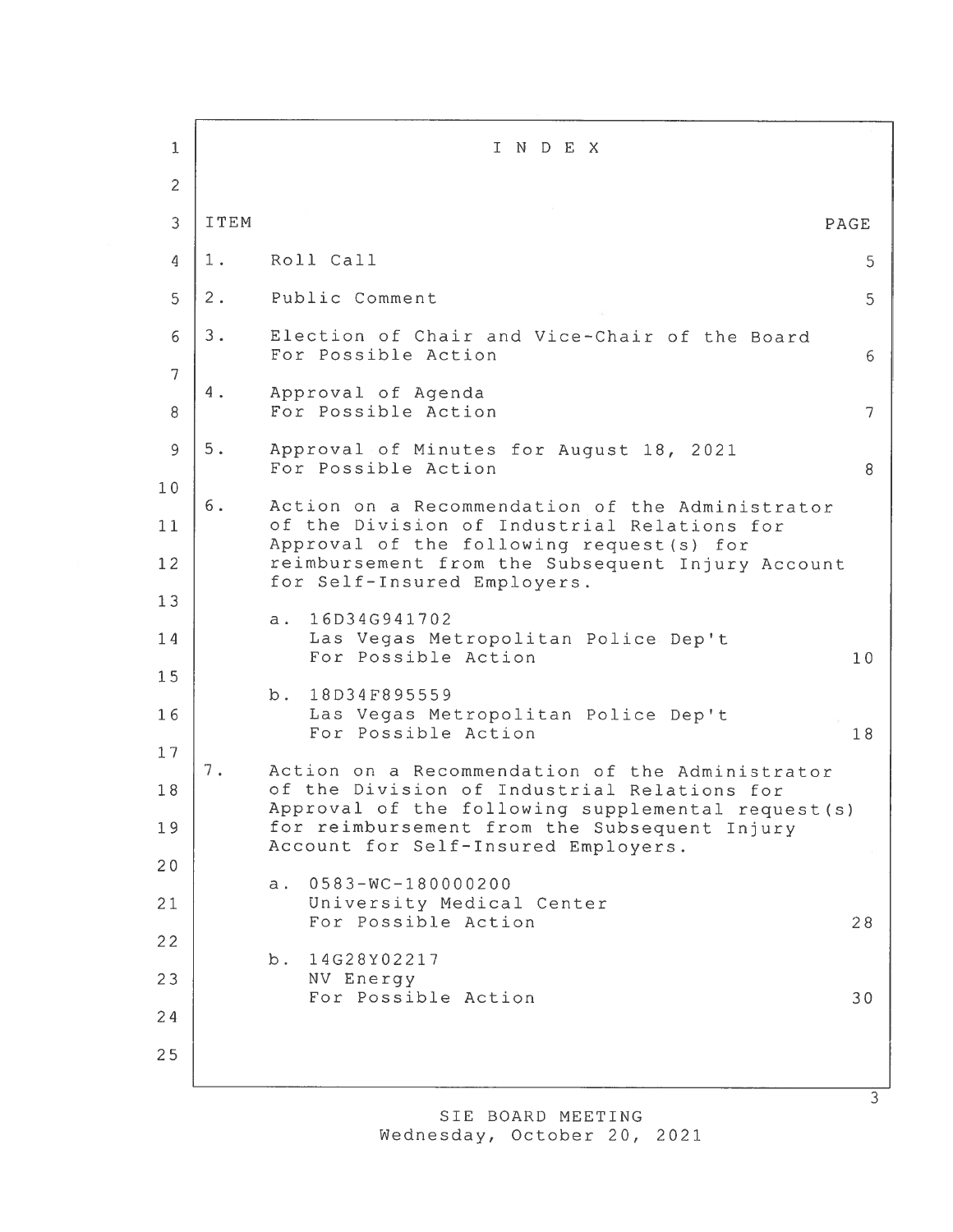| 1              |       | INDEX                                                                                                                                                |        |
|----------------|-------|------------------------------------------------------------------------------------------------------------------------------------------------------|--------|
| $\overline{2}$ |       |                                                                                                                                                      |        |
| 3              | ITEM  |                                                                                                                                                      | PAGE   |
| 4              | 1.    | Roll Call                                                                                                                                            | 5      |
| 5              | $2$ . | Public Comment                                                                                                                                       | 5      |
| 6              | $3$ . | Election of Chair and Vice-Chair of the Board<br>For Possible Action                                                                                 | 6      |
| 7<br>8         | 4.    | Approval of Agenda<br>For Possible Action                                                                                                            | $\tau$ |
| 9              | $5$ . | Approval of Minutes for August 18, 2021<br>For Possible Action                                                                                       | 8      |
| 10<br>11       | 6.    | Action on a Recommendation of the Administrator<br>of the Division of Industrial Relations for                                                       |        |
| 12             |       | Approval of the following request (s) for<br>reimbursement from the Subsequent Injury Account<br>for Self-Insured Employers.                         |        |
| 13<br>14<br>15 |       | 16D34G941702<br>$a$ .<br>Las Vegas Metropolitan Police Dep't<br>For Possible Action                                                                  | 10     |
| 16<br>17       |       | 18D34F895559<br>b.<br>Las Vegas Metropolitan Police Dep't<br>For Possible Action                                                                     | 18     |
| 18             | 7.    | Action on a Recommendation of the Administrator<br>of the Division of Industrial Relations for<br>Approval of the following supplemental request (s) |        |
| 19             |       | for reimbursement from the Subsequent Injury<br>Account for Self-Insured Employers.                                                                  |        |
| 20             |       | $0583 - WC - 180000200$<br>a.                                                                                                                        |        |
| 21             |       | University Medical Center<br>For Possible Action                                                                                                     | 28     |
| 22             |       | 14G28Y02217<br>b.                                                                                                                                    |        |
| 23             |       | NV Energy<br>For Possible Action                                                                                                                     | 30     |
| 24             |       |                                                                                                                                                      |        |
| 25             |       |                                                                                                                                                      |        |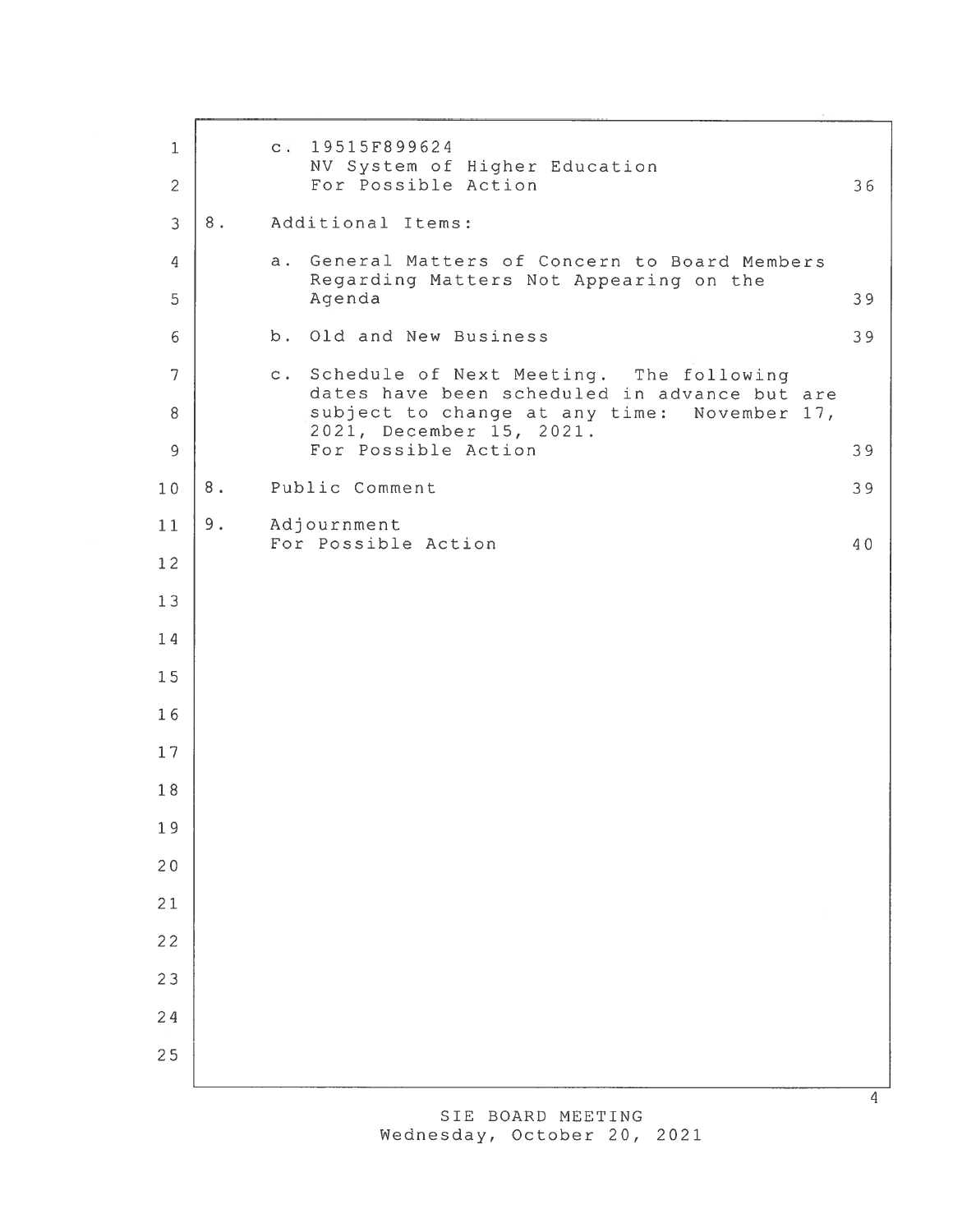| $\mathbf{1}$          |       | $C$ .                                                                                          | 19515F899624<br>NV System of Higher Education                                                      |    |
|-----------------------|-------|------------------------------------------------------------------------------------------------|----------------------------------------------------------------------------------------------------|----|
| $\mathbf{2}$          |       |                                                                                                | For Possible Action                                                                                | 36 |
| $\overline{3}$        | $8$ . |                                                                                                | Additional Items:                                                                                  |    |
| 4                     |       |                                                                                                | a. General Matters of Concern to Board Members<br>Regarding Matters Not Appearing on the<br>Agenda |    |
| 5                     |       |                                                                                                |                                                                                                    | 39 |
| 6                     |       |                                                                                                | b. Old and New Business                                                                            | 39 |
| $\overline{7}$        |       |                                                                                                | c. Schedule of Next Meeting. The following<br>dates have been scheduled in advance but are         |    |
| $\, 8$<br>$\mathsf 9$ |       | subject to change at any time: November 17,<br>2021, December 15, 2021.<br>For Possible Action | 39                                                                                                 |    |
| 10                    | $8$ . |                                                                                                | Public Comment                                                                                     | 39 |
| 11                    | 9.    |                                                                                                | Adjournment                                                                                        |    |
| 12                    |       |                                                                                                | For Possible Action                                                                                | 40 |
| 13                    |       |                                                                                                |                                                                                                    |    |
| 14                    |       |                                                                                                |                                                                                                    |    |
| 15                    |       |                                                                                                |                                                                                                    |    |
| 16                    |       |                                                                                                |                                                                                                    |    |
| 17                    |       |                                                                                                |                                                                                                    |    |
| 18                    |       |                                                                                                |                                                                                                    |    |
| 19                    |       |                                                                                                |                                                                                                    |    |
| 20                    |       |                                                                                                |                                                                                                    |    |
| 21                    |       |                                                                                                |                                                                                                    |    |
| 22                    |       |                                                                                                |                                                                                                    |    |
| 23                    |       |                                                                                                |                                                                                                    |    |
| 24                    |       |                                                                                                |                                                                                                    |    |
| 25                    |       |                                                                                                |                                                                                                    |    |
|                       |       |                                                                                                |                                                                                                    |    |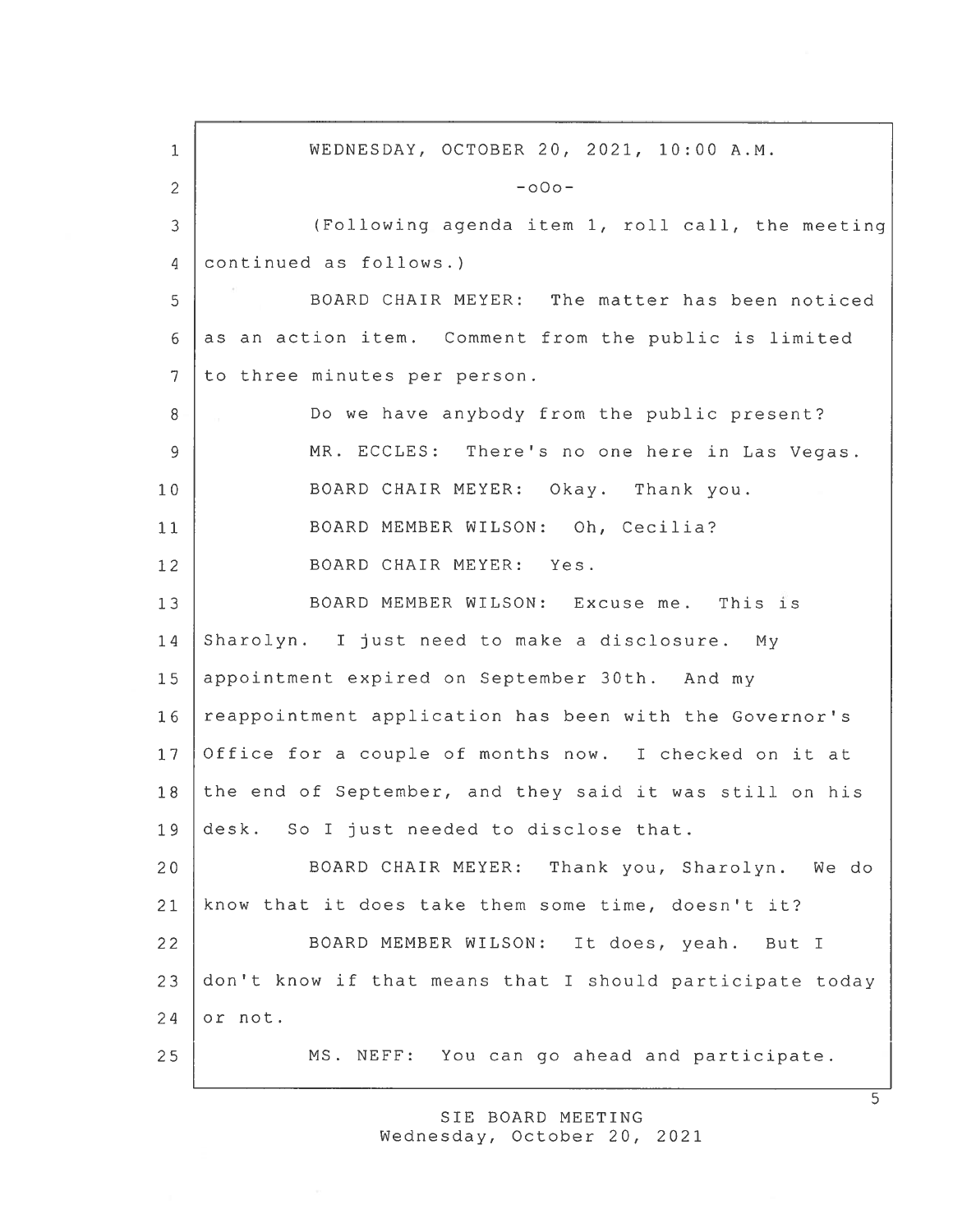1 WEDNESDAY, OCTOBER 20, 2021, 10:00 A.M.  $2$  -o0o-3 (Following agenda item 1, roll call, the meeting 4 continued as follows.) 5 BOARD CHAIR MEYER: The matter has been noticed 6 as an action item. Comment from the public is limited 7 to three minutes per person. 8 Do we have anybody from the public present? 9 | MR. ECCLES: There's no one here in Las Vegas. 10 BOARD CHAIR MEYER: Okay. Thank you. 11 | BOARD MEMBER WILSON: Oh, Cecilia? 12 BOARD CHAIR MEYER: Yes. 13 BOARD MEMBER WILSON: Excuse me. This is 14 Sharolyn. I just need to make <sup>a</sup> disclosure. My 15 appointment expired on September 30th. And my 16 reappointment application has been with the Governor's 17 Office for <sup>a</sup> couple of months now. I checked on it at 18 the end of September, and they said it was still on his 19 desk. So I just needed to disclose that. 20 BOARD CHAIR MEYER: Thank you, Sharolyn. We do 21 know that it does take them some time, doesn't it? 22 BOARD MEMBER WILSON: It does, yeah. But <sup>I</sup> 23 don't know if that means that <sup>I</sup> should participate today  $24$  or not. 25 MS. NEFF: You can go ahead and participate.

> SIE BOARD MEETING Wednesday, October 20, 2021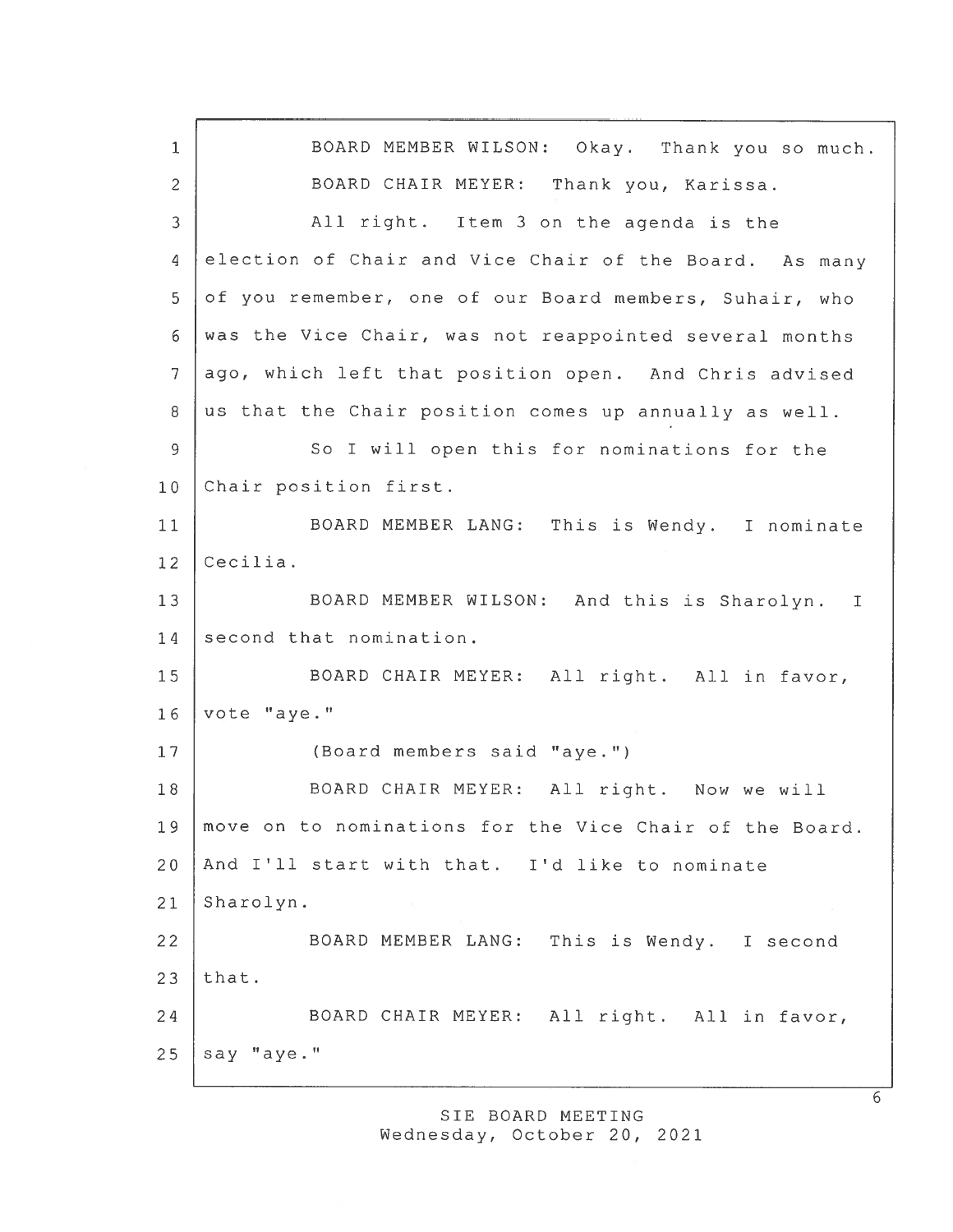<sup>1</sup> BOARD MEMBER WILSON: Okay. Thank you so much. 2 BOARD CHAIR MEYER: Thank you, Karissa. 3 All right. Item 3 on the agenda is the 4 election of Chair and Vice Chair of the Board. As many 5 of you remember, one of our Board members, Suhair, who 6 was the Vice Chair, was not reappointed several months 7 ago, which left that position open. And Chris advised 8 us that the Chair position comes up annually as well. 9 So I will open this for nominations for the 10 Chair position first. 11 BOARD MEMBER LANG: This is Wendy. <sup>I</sup> nominate 12 Cecilia. 13 | BOARD MEMBER WILSON: And this is Sharolyn. I 14 second that nomination. 15 | BOARD CHAIR MEYER: All right. All in favor, 16 vote "aye." 17 (Board members said "aye.") 18 | BOARD CHAIR MEYER: All right. Now we will 19 move on to nominations for the Vice Chair of the Board. 20 And I'll start with that. I'd like to nominate 21 Sharolyn. 22 BOARD MEMBER LANG: This is Wendy. <sup>I</sup> second  $23$  that. 24 BOARD CHAIR MEYER: All right. All in favor,  $25$  say "aye."

> SIE BOARD MEETING Wednesday, October 20, 2021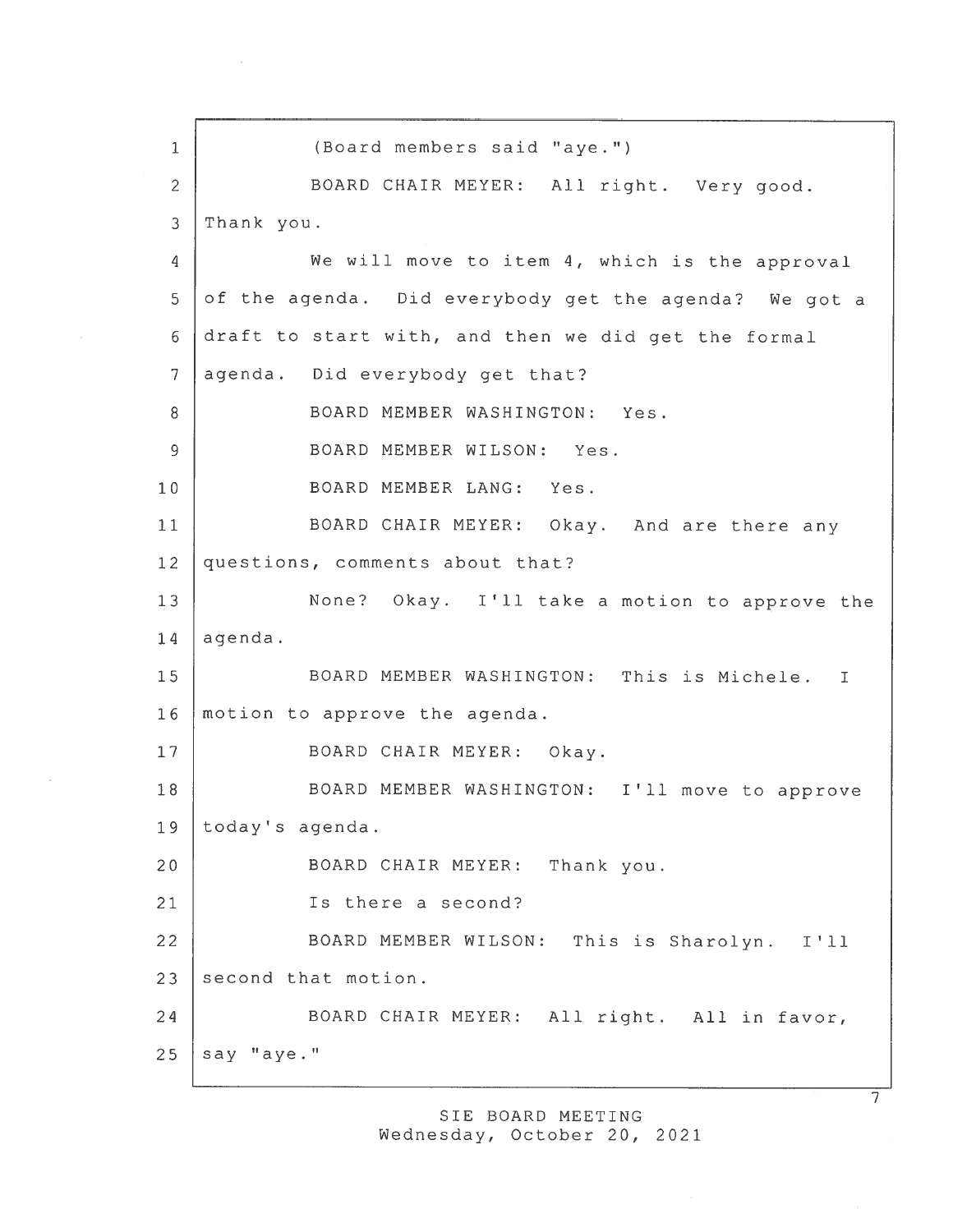1 (Board members said "aye.") <sup>2</sup> BOARD CHAIR MEYER: All right. Very good. 3 Thank you. <sup>4</sup> We will move to item 4, which is the approva<sup>l</sup> 5 of the agenda. Did everybody get the agenda? We got a <sup>6</sup> draft to start with, and then we did ge<sup>t</sup> the formal 7 agenda. Did everybody get that? 8 BOARD MEMBER WASHINGTON: Yes. 9 BOARD MEMBER WILSON: Yes. 10 BOARD MEMBER LANG: Yes. <sup>11</sup> BOARD CHAIR MEYER: Okay. And are there any 12 questions, comments about that? 13 None? Okay. I'll take a motion to approve the  $14$  agenda. 15 BOARD MEMBER WASHINGTON: This is Michele. I 16 motion to approve the agenda. 17 | BOARD CHAIR MEYER: Okay. 18 | BOARD MEMBER WASHINGTON: I'll move to approve 19 today's agenda. <sup>20</sup> BOARD CHAIR MEYER: Thank you. 21 | Is there a second? <sup>22</sup> BOARD MEMBER WILSON: This is Sharolyn. I'll 23 second that motion. 24 BOARD CHAIR MEYER: All right. All in favor,  $25$  say "aye."

SIE BOARD MEETING

Wednesday, October 20, 2021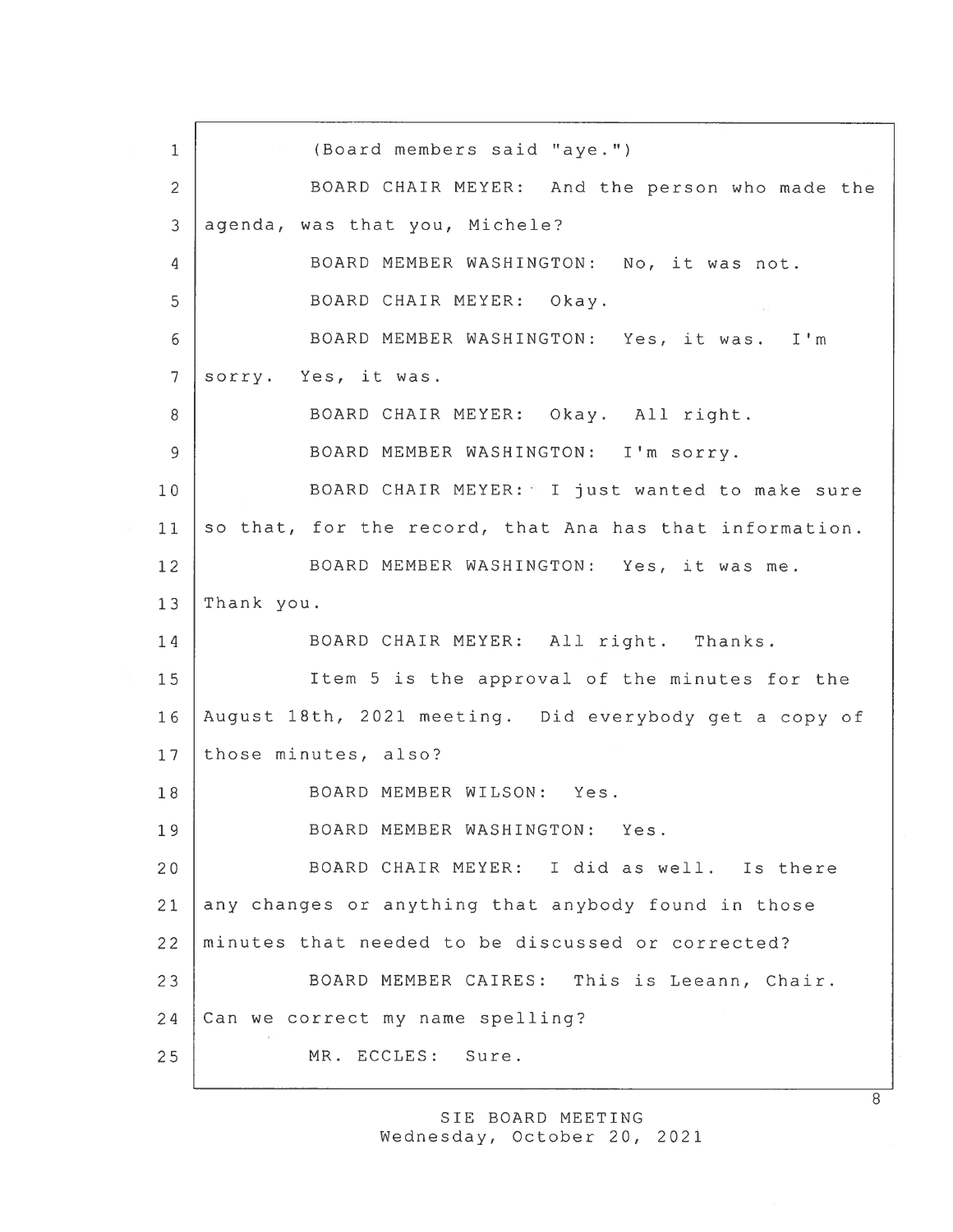1 (Board members said "aye.") 2 BOARD CHAIR MEYER: And the person who made the 3 agenda, was that you, Michele? 4 BOARD MEMBER WASHINGTON: No, it was not. 5 BOARD CHAIR MEYER: Okay. 6 BOARD MEMBER WASHINGTON: Yes, it was. I'm 7 sorry. Yes, it was. 8 | BOARD CHAIR MEYER: Okay. All right. 9 BOARD MEMBER WASHINGTON: I'm sorry. 10 | BOARD CHAIR MEYER: I just wanted to make sure 11 so that, for the record, that Ana has that information. 12 | BOARD MEMBER WASHINGTON: Yes, it was me. 13 Thank you. 14 | BOARD CHAIR MEYER: All right. Thanks. 15 Item 5 is the approval of the minutes for the 16 August 18th, 2021 meeting. Did everybody ge<sup>t</sup> <sup>a</sup> copy of 17 those minutes, also? 18 BOARD MEMBER WILSON: Yes. 19 BOARD MEMBER WASHINGTON: Yes. 20 BOARD CHAIR MEYER: I did as well. Is there 21 any changes or anything that anybody found in those 22 minutes that needed to be discussed or corrected? 23 BOARD MEMBER CAIRES: This is Leeann, Chair. 24 Can we correct my name spelling? 25 MR. ECCLES: Sure.

> SIE BOARD MEETING Wednesday, October 20, 2021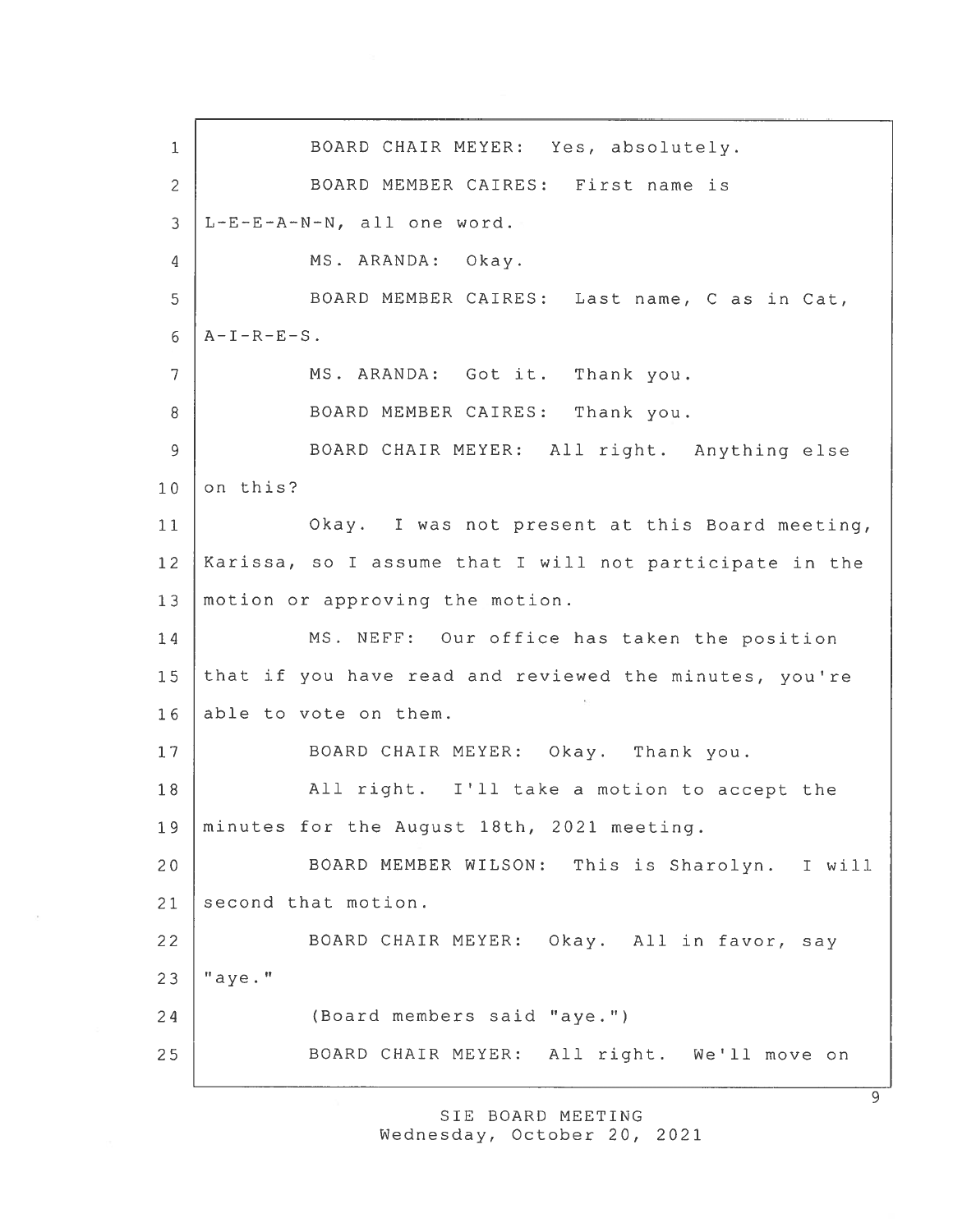1 BOARD CHAIR MEYER: Yes, absolutely. 2 BOARD MEMBER CAIRES: First name is 3 L-E-E-A-N-N, all one word. 4 MS. ARANDA: Okay. 5 BOARD MEMBER CAIRES: Last name, C as in Cat,  $6$  | A-I-R-E-S. 7 | MS. ARANDA: Got it. Thank you. 8 BOARD MEMBER CAIRES: Thank you. 9 BOARD CHAIR MEYER: All right. Anything else  $10$  on this? 11 Okay. <sup>I</sup> was not presen<sup>t</sup> at this Board meeting, 12 Karissa, so <sup>I</sup> assume that <sup>I</sup> will not participate in the 13 | motion or approving the motion. 14 MS. NEFF: Our office has taken the position 15 that if you have read and reviewed the minutes, you're 16 able to vote on them. 17 | BOARD CHAIR MEYER: Okay. Thank you. 18 | All right. I'll take a motion to accept the 19 minutes for the August 18th, 2021 meeting. 20 BOARD MEMBER WILSON: This is Sharolyn. <sup>I</sup> will 21 second that motion. 22 | BOARD CHAIR MEYER: Okay. All in favor, say  $23$   $"$ aye." 24 (Board members said "aye.") 25 BOARD CHAIR MEYER: All right. We'll move on

> SIE BOARD MEETING Wednesday, October 20, 2021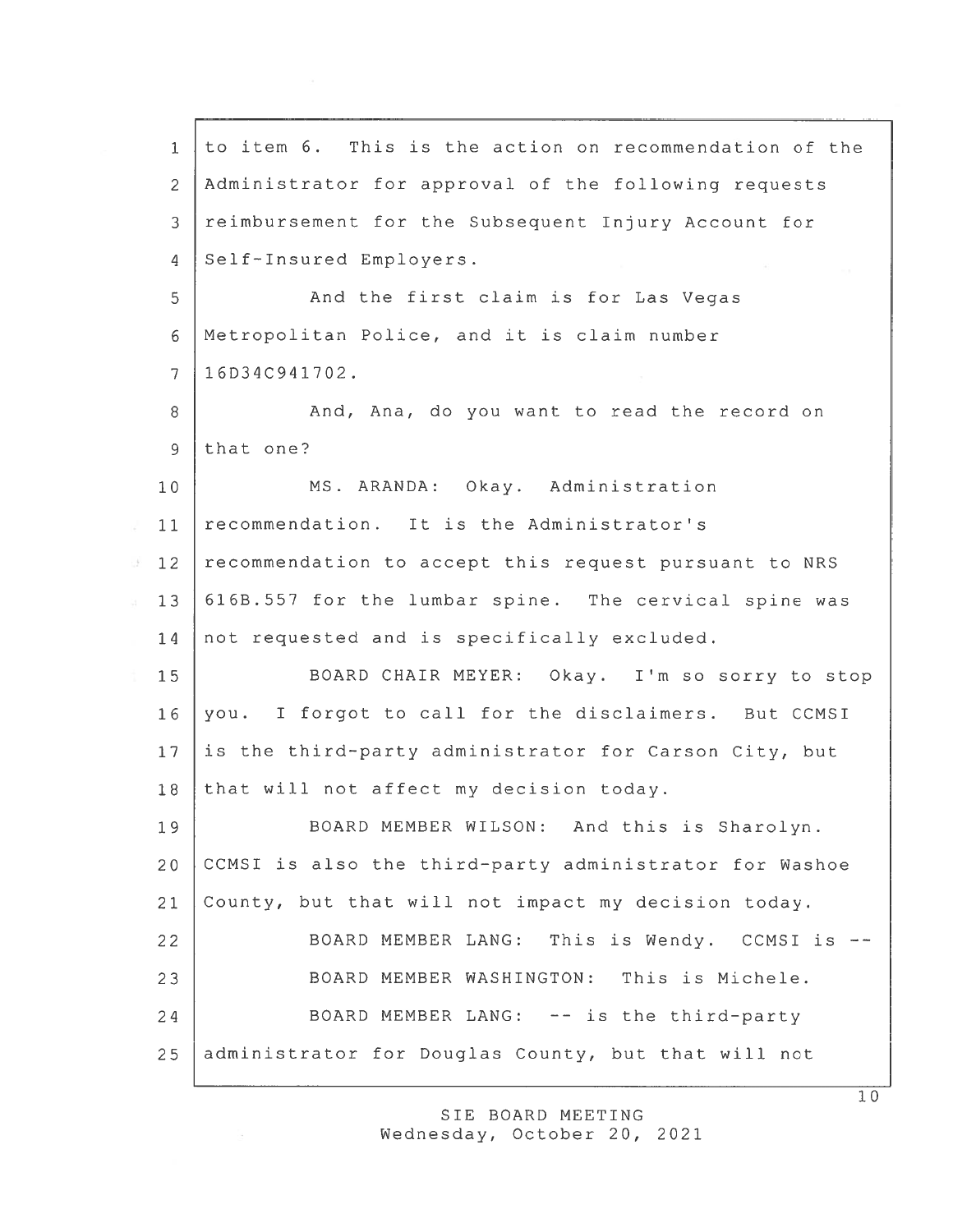| $\mathbf 1$    | to item 6. This is the action on recommendation of the |
|----------------|--------------------------------------------------------|
| $\mathbf{2}$   | Administrator for approval of the following requests   |
| 3              | reimbursement for the Subsequent Injury Account for    |
| 4              | Self-Insured Employers.                                |
| 5              | And the first claim is for Las Vegas                   |
| 6              | Metropolitan Police, and it is claim number            |
| $\overline{7}$ | 16D34C941702.                                          |
| 8              | And, Ana, do you want to read the record on            |
| $\overline{9}$ | that one?                                              |
| 10             | MS. ARANDA: Okay. Administration                       |
| 11             | recommendation. It is the Administrator's              |
| 12             | recommendation to accept this request pursuant to NRS  |
| 13             | 616B.557 for the lumbar spine. The cervical spine was  |
| 14             | not requested and is specifically excluded.            |
| 15             | BOARD CHAIR MEYER: Okay. I'm so sorry to stop          |
| 16             | you. I forgot to call for the disclaimers. But CCMSI   |
| 17             | is the third-party administrator for Carson City, but  |
| 18             | that will not affect my decision today.                |
| 19             | BOARD MEMBER WILSON: And this is Sharolyn.             |
| 20             | CCMSI is also the third-party administrator for Washoe |
| 21             | County, but that will not impact my decision today.    |
| 22             | BOARD MEMBER LANG: This is Wendy. CCMSI is             |
| 23             | BOARD MEMBER WASHINGTON: This is Michele.              |
| 24             | BOARD MEMBER LANG: -- is the third-party               |
| 25             | administrator for Douglas County, but that will not    |

SIE BOARD MEETING Wednesday, October 20, 2021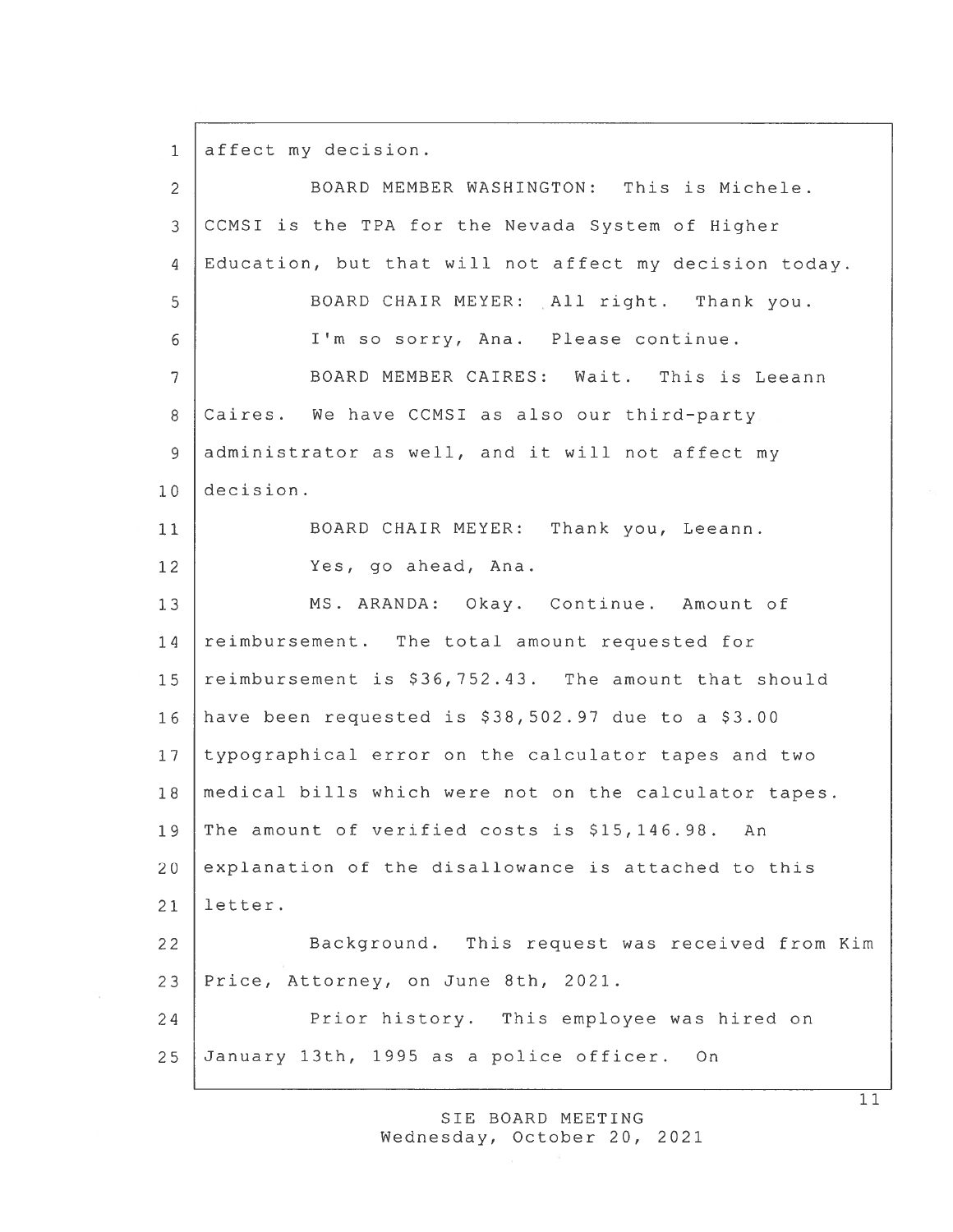1 affect my decision.

| $\overline{c}$ | BOARD MEMBER WASHINGTON: This is Michele.              |  |  |
|----------------|--------------------------------------------------------|--|--|
| 3              | CCMSI is the TPA for the Nevada System of Higher       |  |  |
| $\overline{4}$ | Education, but that will not affect my decision today. |  |  |
| 5              | BOARD CHAIR MEYER: All right. Thank you.               |  |  |
| 6              | I'm so sorry, Ana. Please continue.                    |  |  |
| 7              | BOARD MEMBER CAIRES: Wait. This is Leeann              |  |  |
| 8              | Caires. We have CCMSI as also our third-party          |  |  |
| 9              | administrator as well, and it will not affect my       |  |  |
| 10             | decision.                                              |  |  |
| 11             | BOARD CHAIR MEYER: Thank you, Leeann.                  |  |  |
| 12             | Yes, go ahead, Ana.                                    |  |  |
| 13             | MS. ARANDA: Okay. Continue. Amount of                  |  |  |
| 14             | reimbursement. The total amount requested for          |  |  |
| 15             | reimbursement is \$36,752.43. The amount that should   |  |  |
| 16             | have been requested is \$38,502.97 due to a \$3.00     |  |  |
| 17             | typographical error on the calculator tapes and two    |  |  |
| 18             | medical bills which were not on the calculator tapes.  |  |  |
| 19             | The amount of verified costs is \$15,146.98. An        |  |  |
| 20             | explanation of the disallowance is attached to this    |  |  |
| 21             | letter.                                                |  |  |
| 22             | Background. This request was received from Kim         |  |  |
| 23             | Price, Attorney, on June 8th, 2021.                    |  |  |
| 24             | Prior history. This employee was hired on              |  |  |
| 25             | January 13th, 1995 as a police officer.<br>On          |  |  |

SIE BOARD MEETING Wednesday, October 20, 2021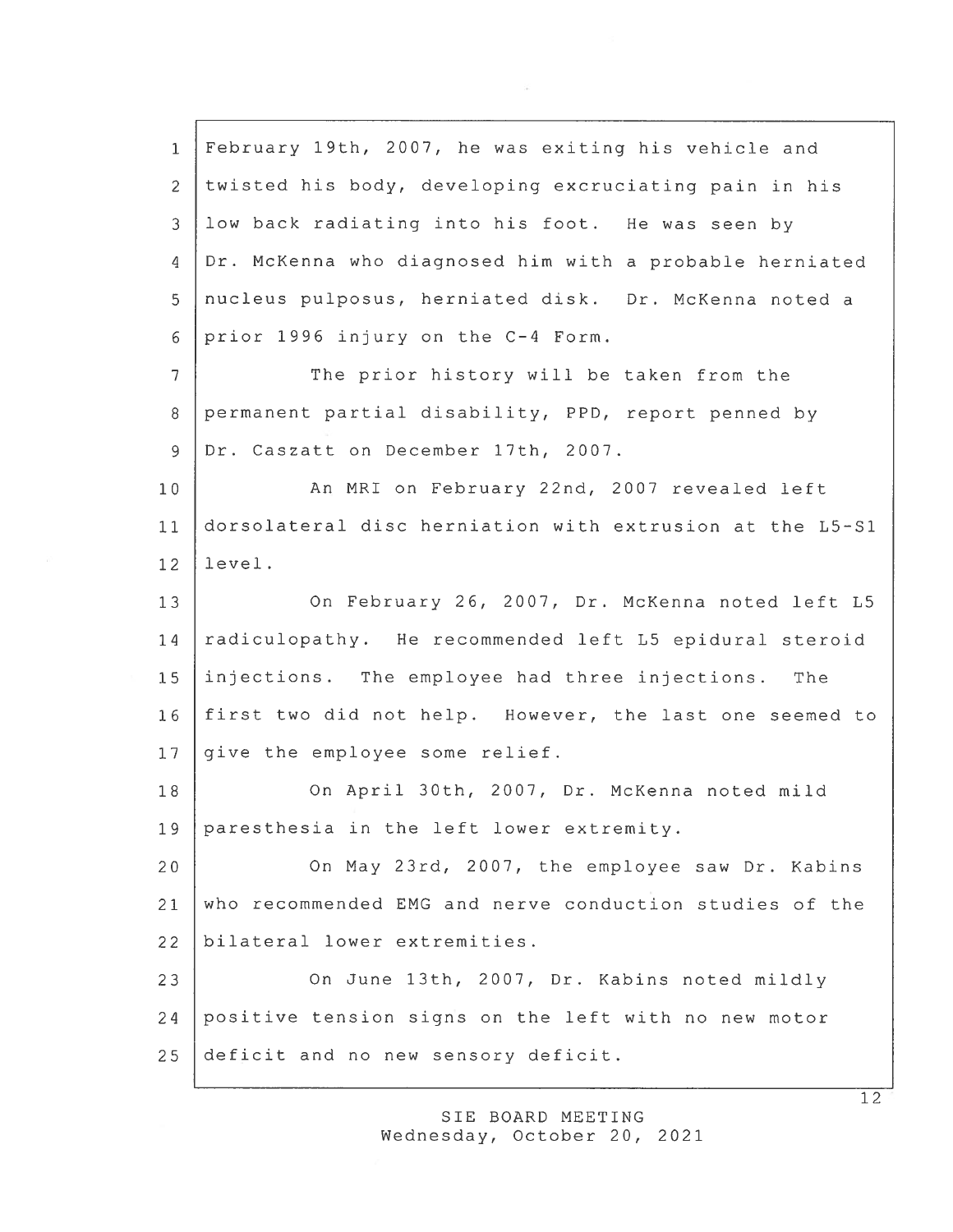February 19th, 2007, he was exiting his vehicle and twisted his body, developing excruciating pain in his low back radiating into his foot. He was seen by Dr. McKenna who diagnosed him with <sup>a</sup> probable herniated nucleus pulposus, herniated disk. Dr. McKenna noted <sup>a</sup> prior 1996 injury on the C—4 Form. 7 The prior history will be taken from the permanen<sup>t</sup> partial disability, PPD, repor<sup>t</sup> penned by Dr. Caszatt on December 17th, 2007. 10 | An MRI on February 22nd, 2007 revealed left dorsolateral disc herniation with extrusion at the L5-S1 12 level. 13 On February 26, 2007, Dr. McKenna noted left L5 14 radiculopathy. He recommended left L5 epidural steroid injections. The employee had three injections. The first two did not help. However, the last one seemed to 17 give the employee some relief. On April 30th, 2007, Dr. McKenna noted mild paresthesia in the left lower extremity. 20 On May 23rd, 2007, the employee saw Dr. Kabins who recommended EMG and nerve conduction studies of the bilateral lower extremities. 23 On June 13th, 2007, Dr. Kabins noted mildly positive tension signs on the left with no new motor deficit and no new sensory deficit.

> SIE BOARD MEETING Wednesday, October 20, 2021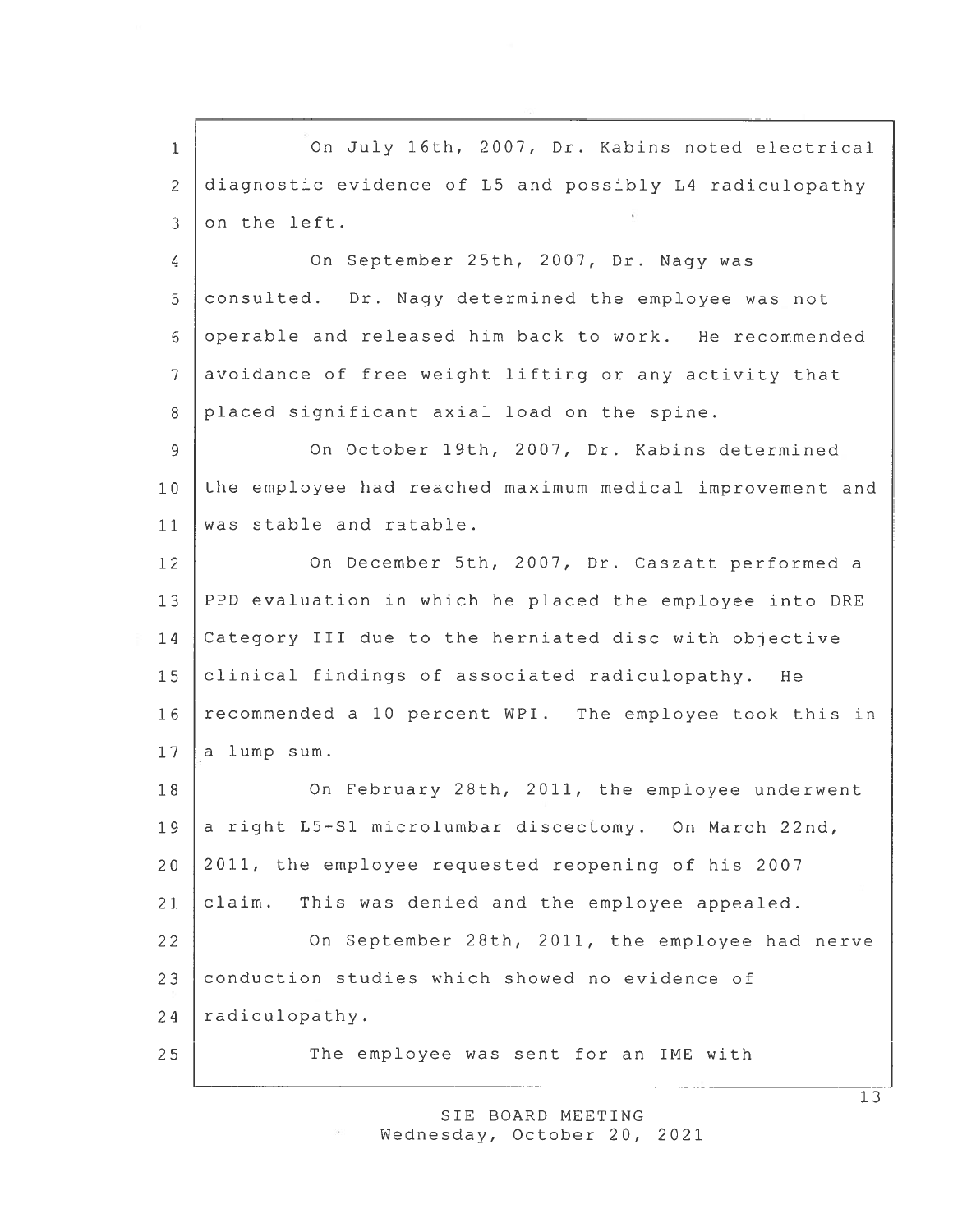1 On July 16th, 2007, Dr. Kabins noted electrical 2 diagnostic evidence of L5 and possibly L4 radiculopathy 3 on the left.

 On September 25th, 2007, Dr. Nagy was consulted. Dr. Nagy determined the employee was not operable and released him back to work. He recommended avoidance of free weight lifting or any activity that 8 placed significant axial load on the spine.

9 On October 19th, 2007, Dr. Kabins determined 10 the employee had reached maximum medical improvement and 11 was stable and ratable.

12 On December 5th, 2007, Dr. Caszatt performed a PPD evaluation in which he placed the employee into DRE Category III due to the herniated disc with objective clinical findings of associated radiculopathy. He 16 recommended a 10 percent WPI. The employee took this in a lump sum.

18 On February 28th, 2011, the employee underwent 19 a right L5-S1 microlumbar discectomy. On March 22nd, 20 2011, the employee requested reopening of his 2007 <sup>21</sup> claim. This was denied and the employee appealed. 22 On September 28th, 2011, the employee had nerve

23 conduction studies which showed no evidence of 24 | radiculopathy.

25 The employee was sent for an IME with

SIE BOARD MEETING Wednesday, October 20, 2021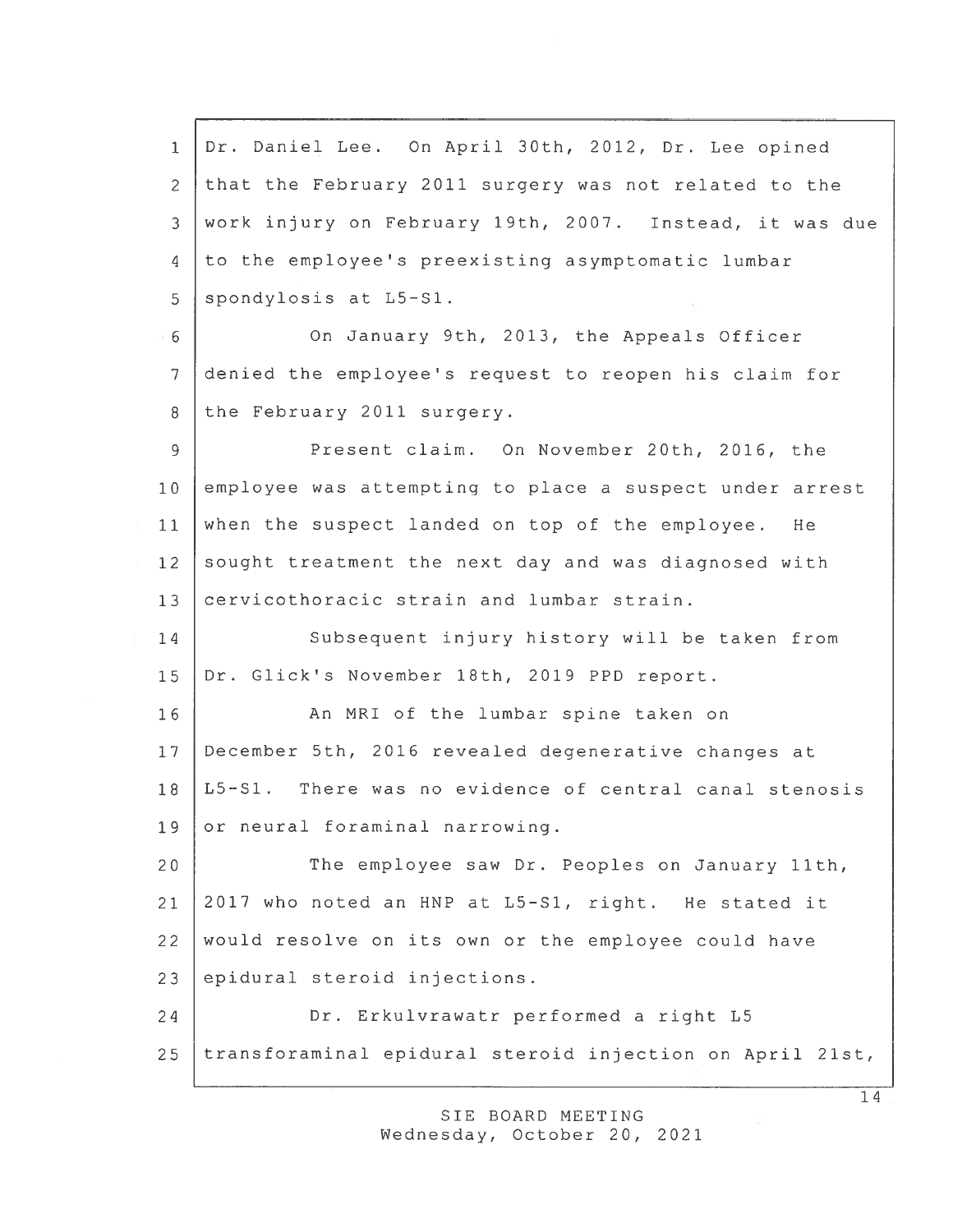Dr. Daniel Lee. On April 30th, 2012, Dr. Lee opined that the February 2011 surgery was not related to the work injury on February 19th, 2007. Instead, it was due 4 to the employee's preexisting asymptomatic lumbar spondylosis at  $L5-S1$ . On January 9th, 2013, the Appeals Officer denied the employee's reques<sup>t</sup> to reopen his claim for 8 the February 2011 surgery. Present claim. On November 20th, 2016, the employee was attempting to place <sup>a</sup> suspec<sup>t</sup> under arrest when the suspec<sup>t</sup> landed on top of the employee. He 12 sought treatment the next day and was diagnosed with 13 cervicothoracic strain and lumbar strain. 14 Subsequent injury history will be taken from Dr. Glick's November 18th, 2019 PPD report. 16 | An MRI of the lumbar spine taken on December 5th, 2016 revealed degenerative changes at L5—S1. There was no evidence of central canal stenosis 19 or neural foraminal narrowing. The employee saw Dr. Peoples on January 11th, 2017 who noted an HNP at L5—Sl, right. He stated it would resolve on its own or the employee could have epidural steroid injections. Dr. Erkulvrawatr performed <sup>a</sup> right L5 transforaminal epidural steroid injection on April 21st,

> SIE BOARD MEETING wednesday, October 20, 2021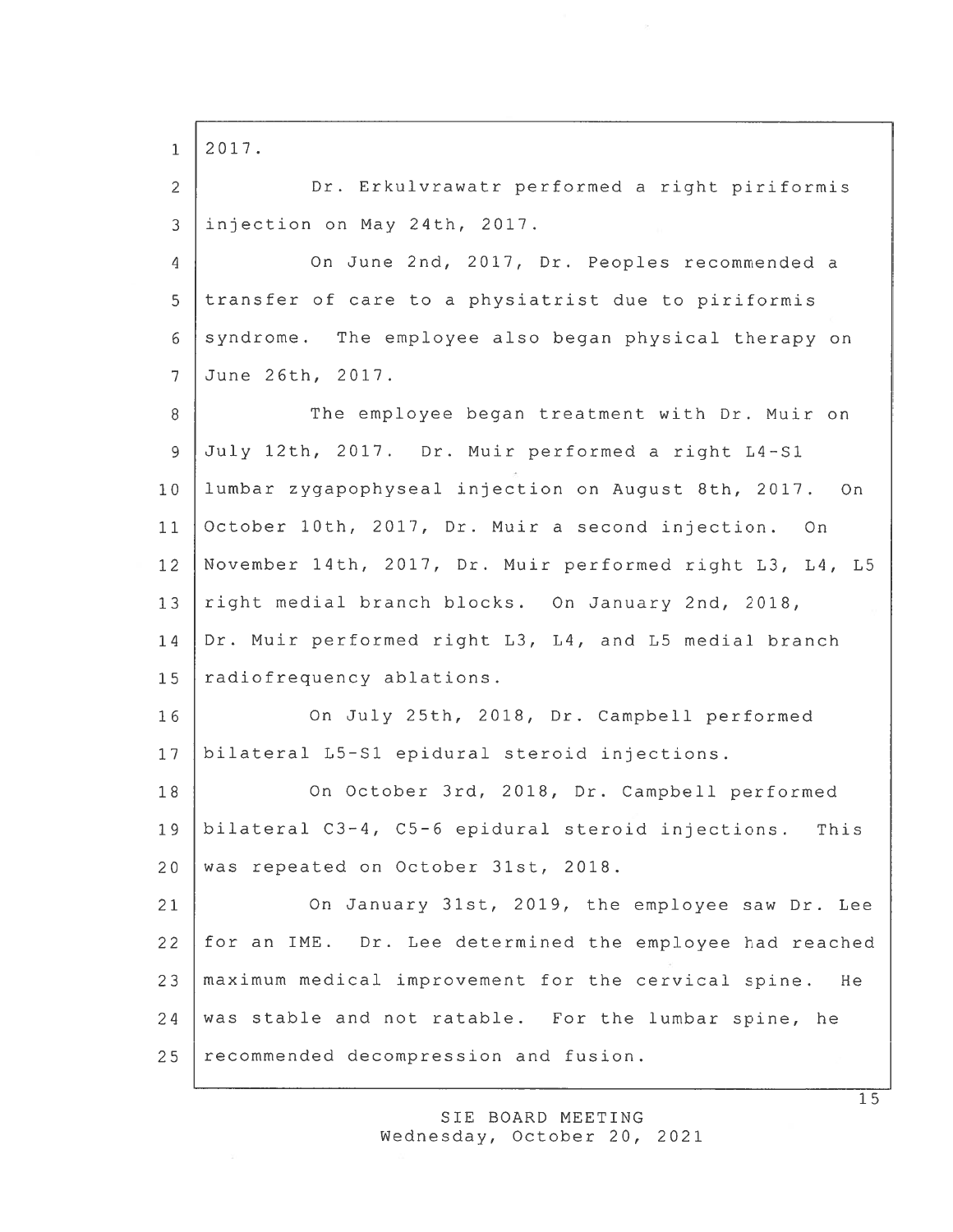$1 \mid 2017$ . Dr. Erkulvrawatr performed <sup>a</sup> right <sup>p</sup>iriformis injection on May 24th, 2017. On June 2nd, 2017, Dr. Peoples recommended <sup>a</sup> 5 transfer of care to a physiatrist due to piriformis 6 syndrome. The employee also began physical therapy on June 26th, 2017. 8 The employee began treatment with Dr. Muir on July 12th, 2017. Dr. Muir performed <sup>a</sup> right L4-S1 lumbar zygapophyseal injection on August 8th, 2017. On October 10th, 2017, Dr. Muir <sup>a</sup> second injection. On November 14th, 2017, Dr. Muir performed right L3, L4, L5 13 right medial branch blocks. On January 2nd, 2018, Dr. Muir performed right L3, L4, and L5 medial branch 15 radiofrequency ablations. On July 25th, 2018, Dr. Campbell performed bilateral L5-S1 epidural steroid injections. On October 3rd, 2018, Dr. Campbell performed bilateral C3-4, C5-6 epidural steroid injections. This 20 was repeated on October 31st, 2018. On January 31st, 2019, the employee saw Dr. Lee for an IME. Dr. Lee determined the employee had reached maximum medical improvement for the cervical spine. He 24 was stable and not ratable. For the lumbar spine, he 25 recommended decompression and fusion.

> SIE BOARD MEETING Wednesday, October 20, 2021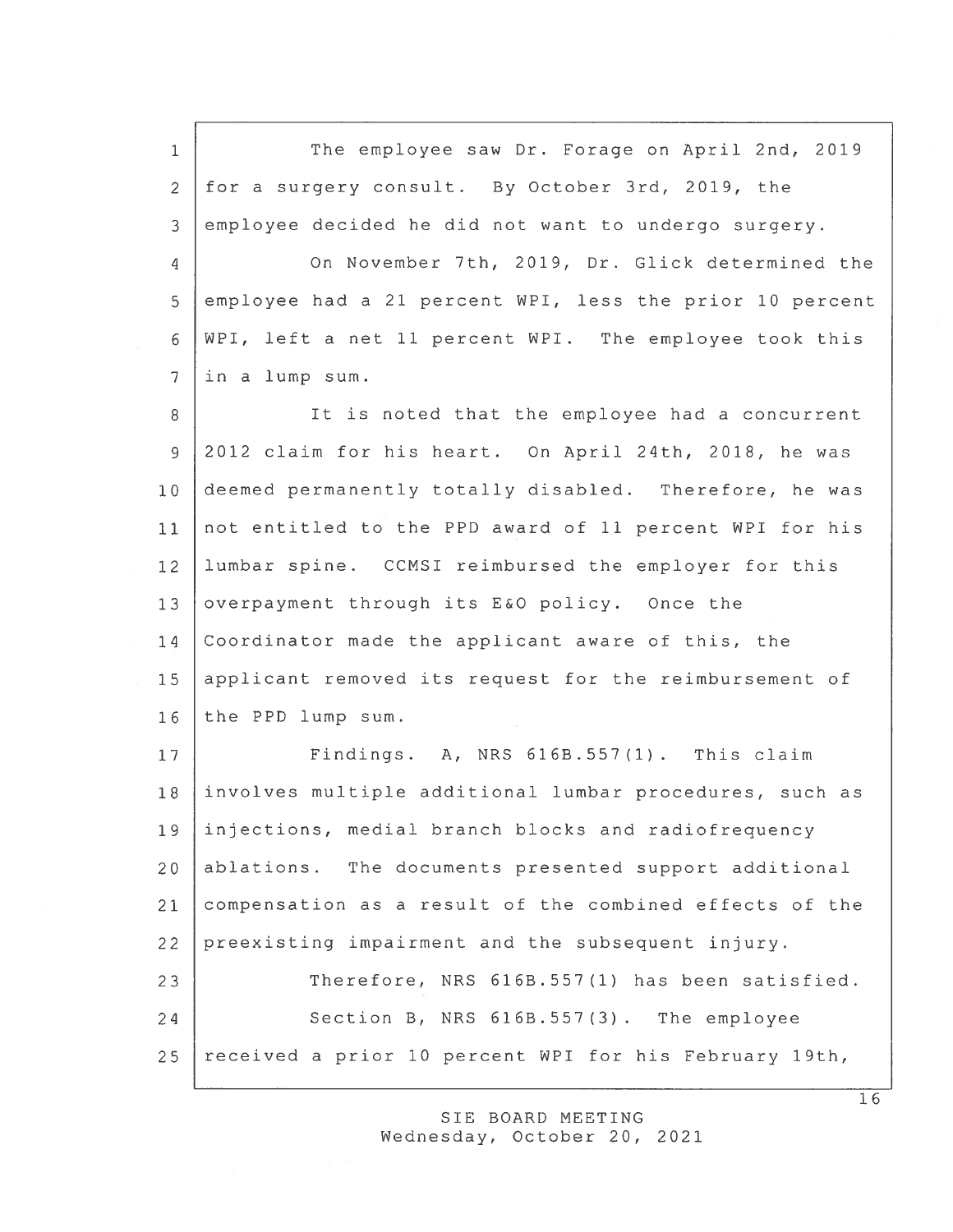1 The employee saw Dr. Forage on April 2nd, 2019 2 for <sup>a</sup> surgery consult. By October 3rd, 2019, the 3 employee decided he did not want to undergo surgery.

 On November 7th, 2019, Dr. Glick determined the employee had <sup>a</sup> 21 percen<sup>t</sup> WPI, less the prior 10 percen<sup>t</sup> WPI, left <sup>a</sup> net 11 percen<sup>t</sup> WPI. The employee took this in <sup>a</sup> lump sum.

8 It is noted that the employee had a concurrent 9 2012 claim for his heart. On April 24th, 2018, he was 10 deemed permanently totally disabled. Therefore, he was 11 not entitled to the PPD award of 11 percen<sup>t</sup> WPI for his 12 lumbar spine. CCMSI reimbursed the employer for this 13 overpayment through its E&O policy. Once the 14 Coordinator made the applicant aware of this, the 15 applicant removed its request for the reimbursement of 16 the PPD lump sum.

17 Findings. A, NRS 616B.557(1). This claim involves multiple additional lumbar procedures, such as injections, medial branch blocks and radiofrequency ablations. The documents presented suppor<sup>t</sup> additional compensation as <sup>a</sup> result of the combined effects of the preexisting impairment and the subsequent injury. 23 Therefore, NRS 616B.557(1) has been satisfied. 24 Section B, NRS 616B.557(3). The employee received <sup>a</sup> prior 10 percen<sup>t</sup> WPI for his February 19th,

> SIE BOARD MEETING Wednesday, October 20, 2021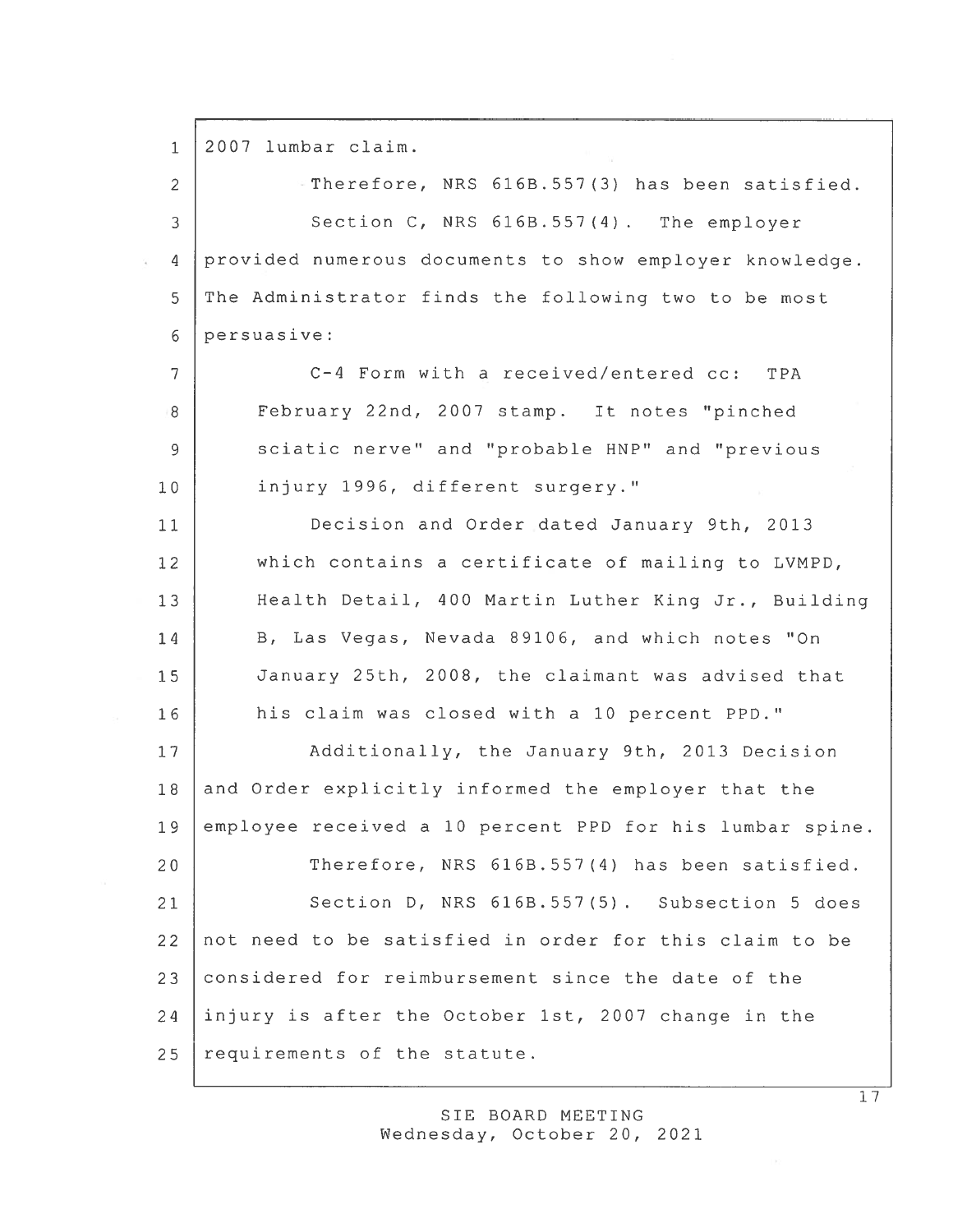1 2007 lumbar claim.

2 Therefore, NRS 616B.557(3) has been satisfied. 3 Section C, NRS 616B.557(4). The employer 4 provided numerous documents to show employer knowledge. 5 The Administrator finds the following two to be most 6 persuasive:

 C—4 Form with <sup>a</sup> received/entered cc: TPA 8 February 22nd, 2007 stamp. It notes "pinched sciatic nerve" and "probable HNP" and "previous injury 1996, different surgery."

 Decision and Order dated January 9th, 2013 which contains <sup>a</sup> certificate of mailing to LVMPD, Health Detail, 400 Martin Luther King Jr., Building 14 B, Las Vegas, Nevada 89106, and which notes "On January 25th, 2008, the claimant was advised that his claim was closed with <sup>a</sup> 10 percen<sup>t</sup> PPD."

17 | Additionally, the January 9th, 2013 Decision 18 and Order explicitly informed the employer that the 19 employee received <sup>a</sup> 10 percen<sup>t</sup> PPD for his lumbar spine. 20 Therefore, NRS 616B.557(4) has been satisfied. 21 Section D, NRS 616B.557(5). Subsection 5 does 22 not need to be satisfied in order for this claim to be 23 considered for reimbursement since the date of the 24 injury is after the October 1st, 2007 change in the  $25$  requirements of the statute.

> SIE BOARD MEETING Wednesday, October 20, 2021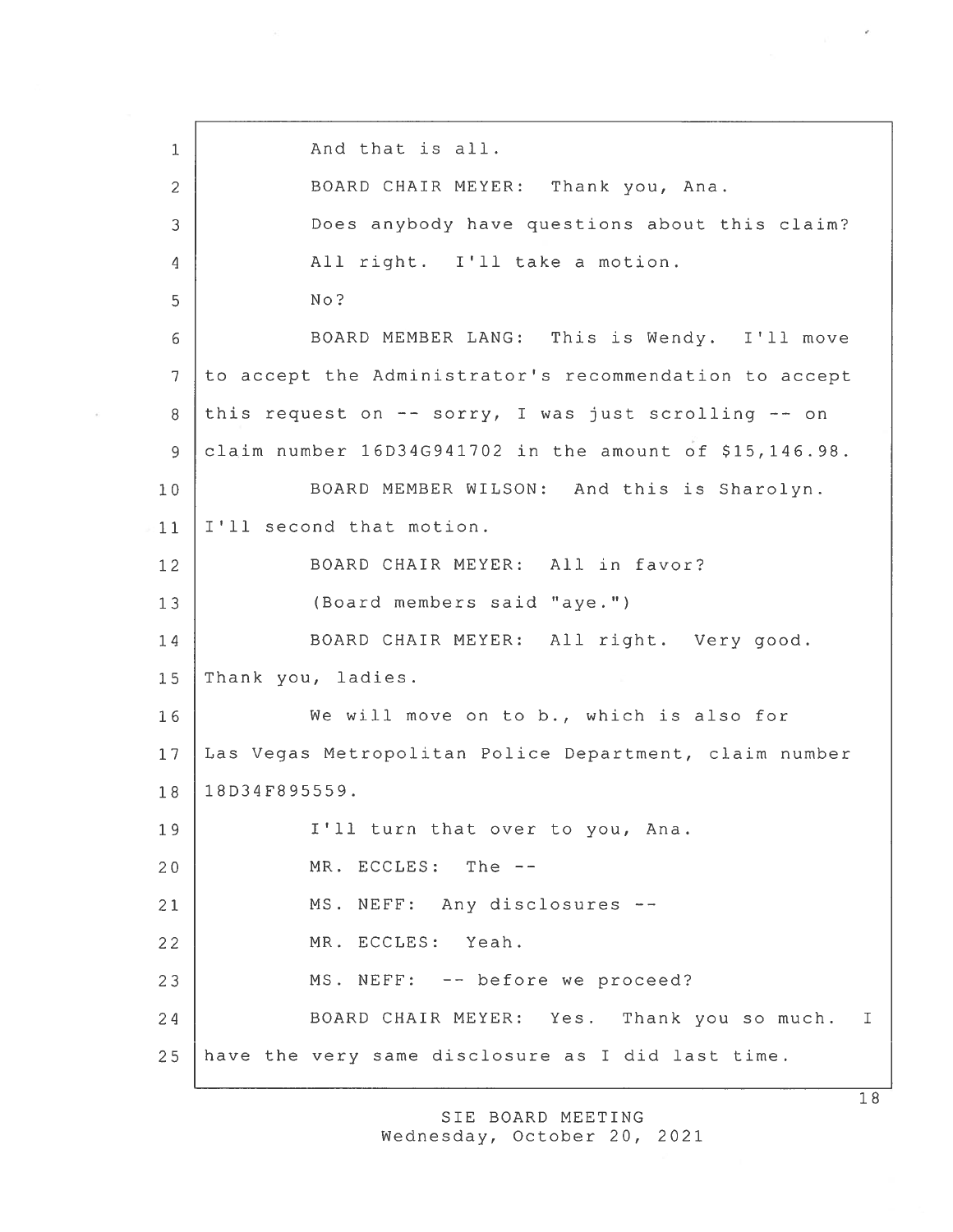1 And that is all. 2 BOARD CHAIR MEYER: Thank you, Ana. 3 Does anybody have questions about this claim? 4 All right. I'll take <sup>a</sup> motion. 5 No? 6 BOARD MEMBER LANG: This is Wendy. I'll move  $7$  to accept the Administrator's recommendation to accept 8 this request on -- sorry, I was just scrolling -- on 9 claim number 16D34G941702 in the amount of \$15,146.98. 10 | BOARD MEMBER WILSON: And this is Sharolyn. 11 | I'll second that motion. 12 BOARD CHAIR MEYER: All in favor? 13 (Board members said "aye.") 14 BOARD CHAIR MEYER: All right. Very good. 15 Thank you, ladies. 16 We will move on to b., which is also for 17 Las Vegas Metropolitan Police Department, claim number 18 18D34F895559. 19 | I'll turn that over to you, Ana. 20 MR. ECCLES: The --21 | MS. NEFF: Any disclosures --22 MR. ECCLES: Yeah. 23 | MS. NEFF: -- before we proceed? 24 BOARD CHAIR MEYER: Yes. Thank you so much. I 25 have the very same disclosure as I did last time.

> SIE BOARD MEETING Wednesday, October 20, 2021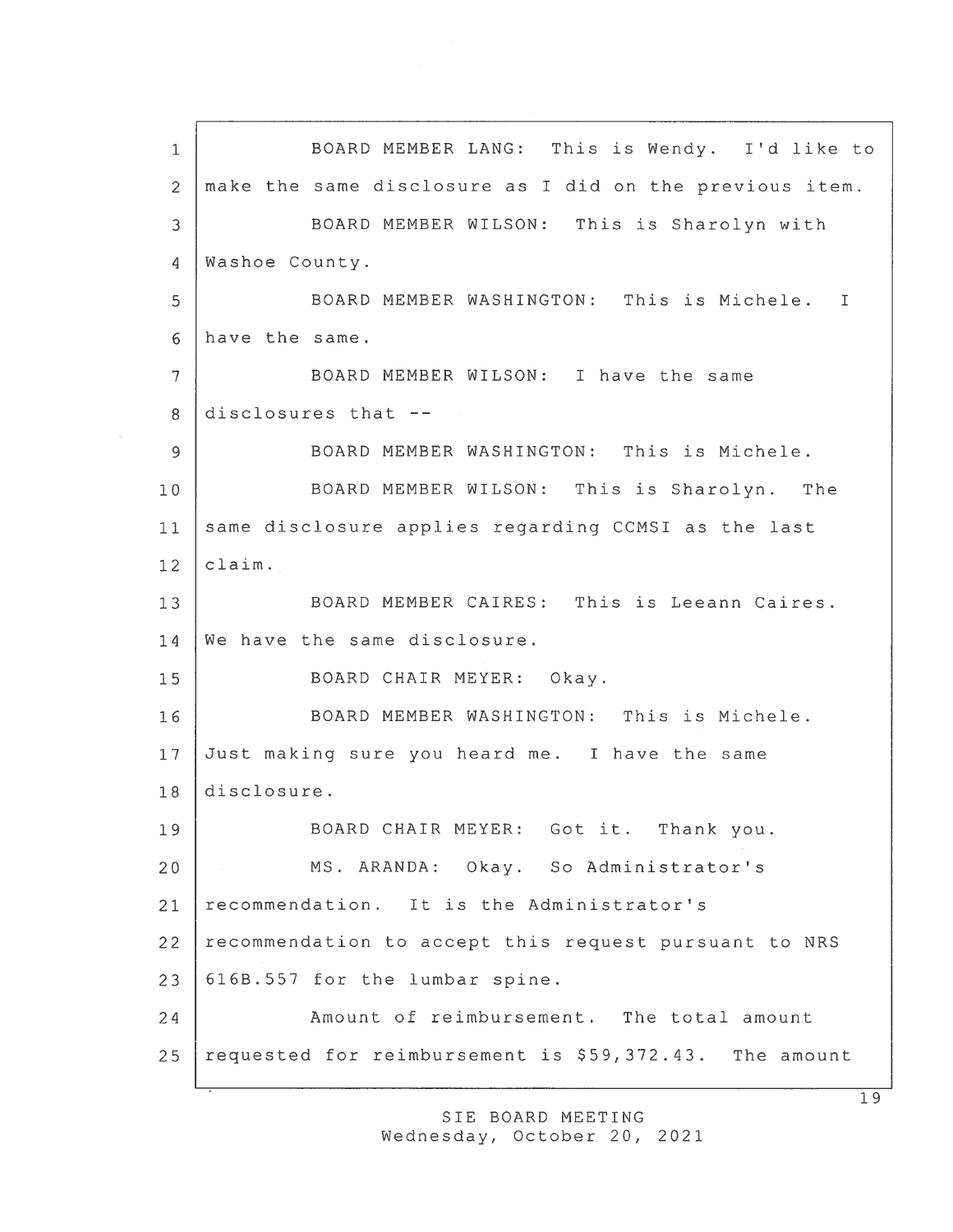1 BOARD MEMBER LANG: This is Wendy. I'd like to 2 make the same disclosure as I did on the previous item. 3 BOARD MEMBER WILSON: This is Sharolyn with 4 | Washoe County. 5 BOARD MEMBER WASHINGTON: This is Michele.  $\mathbf I$ 6 have the same. 7 BOARD MEMBER WILSON: I have the same 8 disclosures that  $-$ 9 BOARD MEMBER WASHINGTON: This is Michele. 10 BOARD MEMBER WILSON: This is Sharolyn. The 11 same disclosure applies regarding CCMSI as the last  $12$  claim. 13 BOARD MEMBER CAIRES: This is Leeann Caires. 14 We have the same disclosure. 15 BOARD CHAIR MEYER: Okay. 16 BOARD MEMBER WASHINGTON: This is Michele. 17 Just making sure you heard me. I have the same 18 disclosure. 19 | BOARD CHAIR MEYER: Got it. Thank you. 20 MS. ARANDA: Okay. So Administrator's 21 recommendation. It is the Administrator's 22 recommendation to accep<sup>t</sup> this reques<sup>t</sup> pursuan<sup>t</sup> to NRS  $23$   $\vert$  616B.557 for the lumbar spine. 24 Amount of reimbursement. The total amount 25 requested for reimbursement is \$59,372.43. The amount

> SIE BOARD MEETING Wednesday, October 20, 2021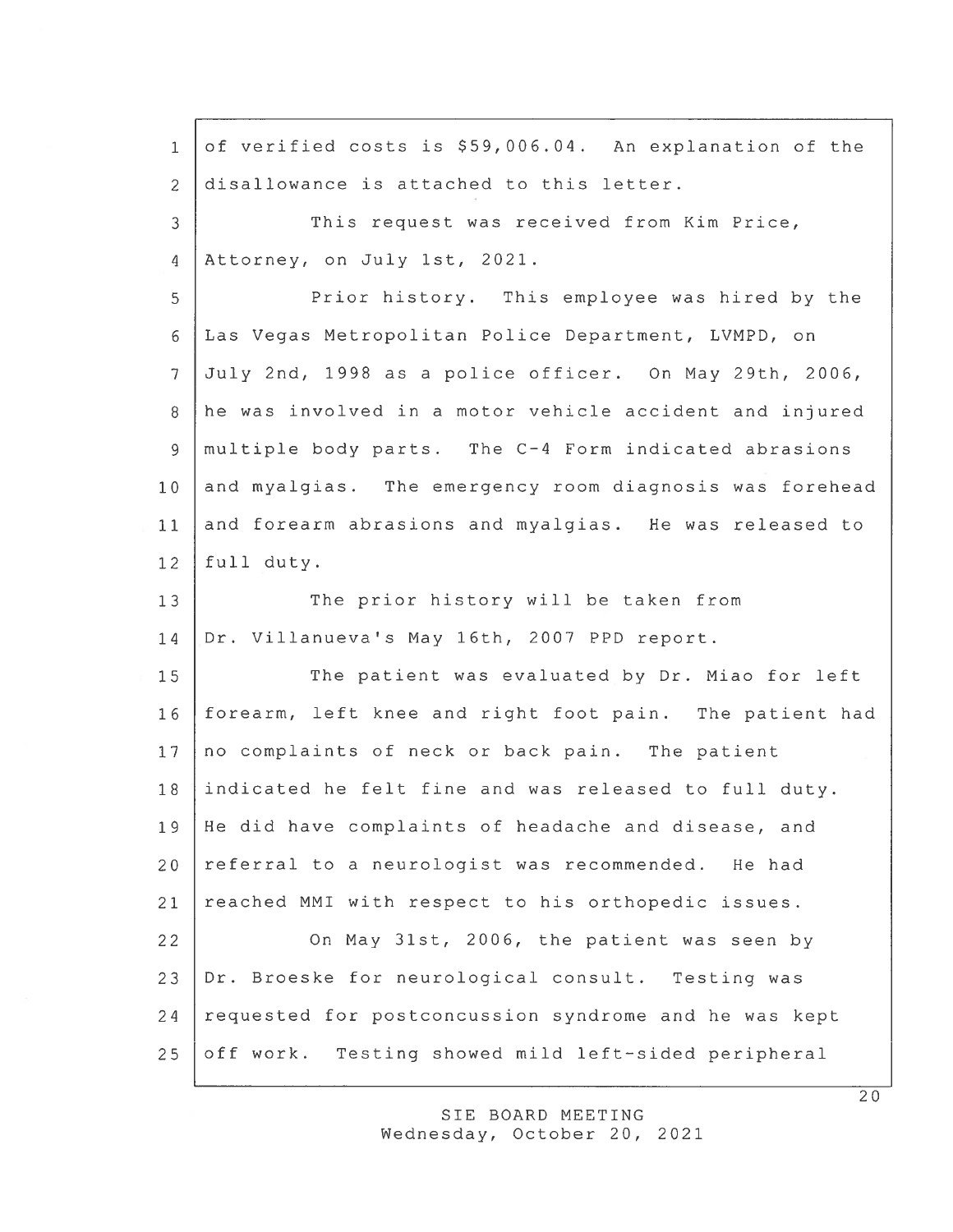of verified costs is \$59,006.04. An explanation of the disallowance is attached to this letter. This reques<sup>t</sup> was received from Kim Price, Attorney, on July 1st, 2021. Prior history. This employee was hired by the Las Vegas Metropolitan Police Department, LVMPD, on July 2nd, 1998 as <sup>a</sup> police officer. On May 29th, 2006, he was involved in <sup>a</sup> motor vehicle accident and injured multiple body parts. The C—4 Form indicated abrasions and myalgias. The emergency room diagnosis was forehead and forearm abrasions and myalgias. He was released to full duty. The prior history will be taken from Dr. Villanueva's May 16th, 2007 PPD report. The patient was evaluated by Dr. Miao for left forearm, left knee and right foot pain. The patient had no complaints of neck or back pain. The patient indicated he felt fine and was released to full duty. He did have complaints of headache and disease, and referral to <sup>a</sup> neurologist was recommended. He had reached MMI with respec<sup>t</sup> to his orthopedic issues. On May 31st, 2006, the patient was seen by Dr. Broeske for neurological consult. Testing was requested for postconcussion syndrome and he was kept off work. Testing showed mild left-sided peripheral 1 2 3 4 5 6 7 8 9 10 11 12 13 14 15 16 17 18 19 20 21 22 23 24 25

> SIE BOARD MEETING Wednesday, October 20, 2021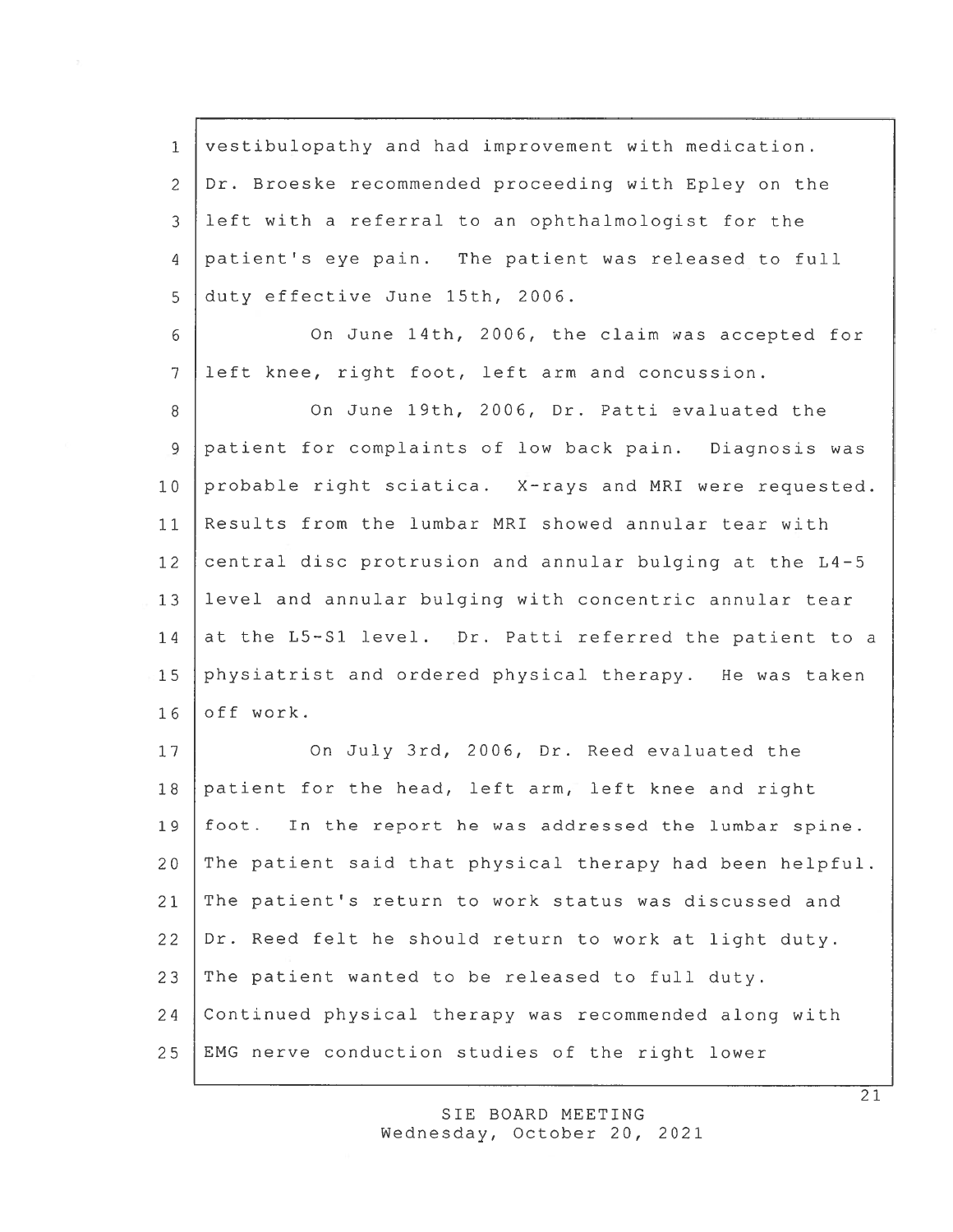vestibulopathy and had improvement with medication. Dr. Broeske recommended proceeding with Epley on the left with <sup>a</sup> referral to an ophthalmologist for the patient's eye pain. The patient was released to full duty effective June 15th, 2006.

<sup>6</sup> On June 14th, 2006, the claim was accepted for 7 left knee, right foot, left arm and concussion.

8 On June 19th, 2006, Dr. Patti evaluated the patient for complaints of low back pain. Diagnosis was probable right sciatica. X-rays and MRI were requested. Results from the lumbar MRI showed annular tear with central disc protrusion and annular bulging at the L4-5 level and annular bulging with concentric annular tear 14 at the L5-S1 level. Dr. Patti referred the patient to a physiatrist and ordered physical therapy. He was taken 16 off work.

17 | On July 3rd, 2006, Dr. Reed evaluated the patient for the head, left arm, left knee and right foot. In the repor<sup>t</sup> he was addressed the lumbar spine. The patient said that <sup>p</sup>hysical therapy had been helpful. The patient's return to work status was discussed and Dr. Reed felt he should return to work at light duty. The patient wanted to be released to full duty. Continued physical therapy was recommended along with EMG nerve conduction studies of the right lower

> SIE BOARD MEETING Wednesday, October 20, 2021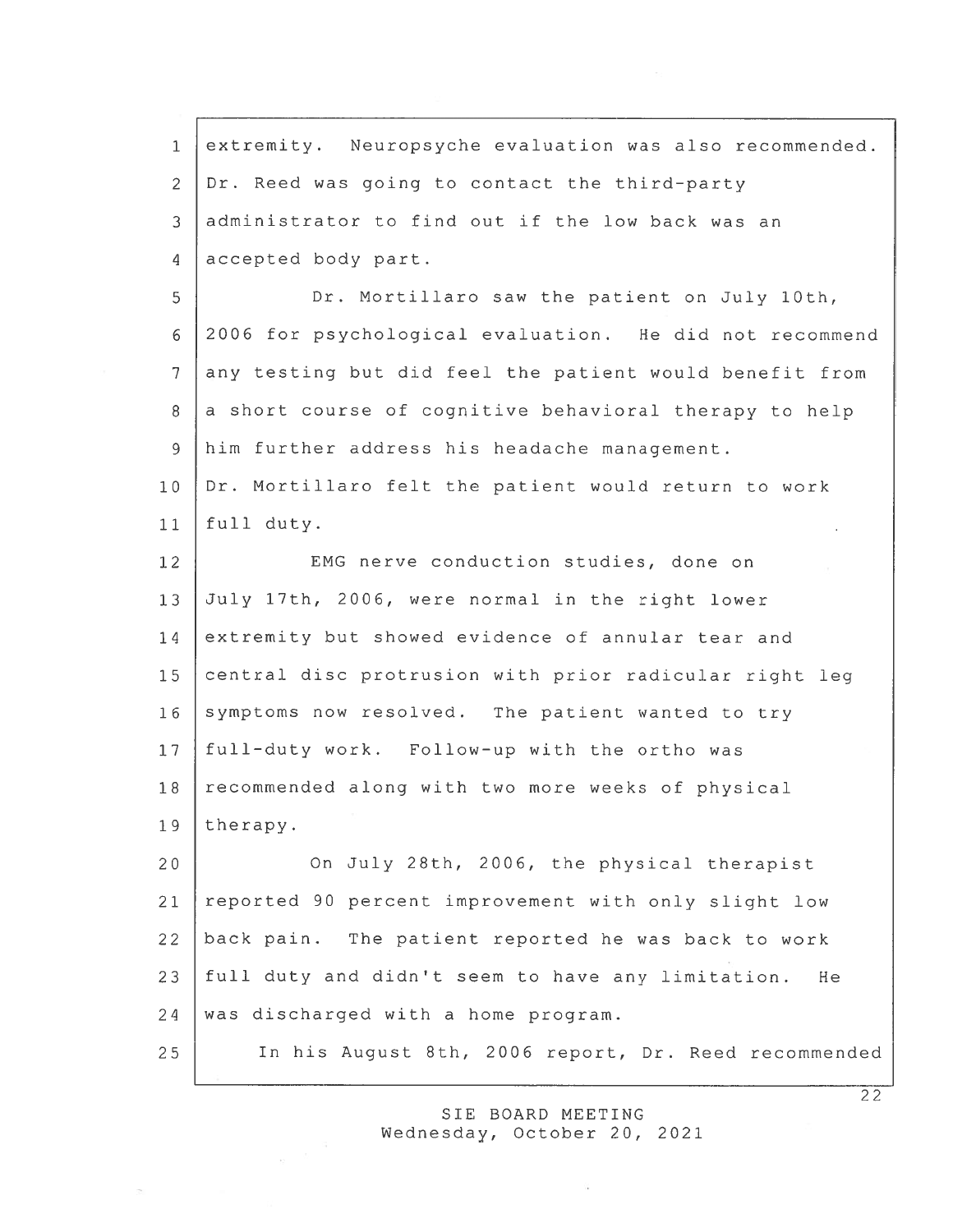1 extremity. Neuropsyche evaluation was also recommended. Dr. Reed was going to contact the third-party administrator to find out if the low back was an 4 accepted body part. Dr. Mortillaro saw the patient on July 10th, 2006 for psychological evaluation. He did not recommend any testing but did feel the patient would benefit from a short course of cognitive behavioral therapy to help him further address his headache management. Dr. Mortillaro felt the patient would return to work full duty. 12 EMG nerve conduction studies, done on July 17th, 2006, were normal in the right lower 14 extremity but showed evidence of annular tear and central disc protrusion with prior radicular right leg 16 symptoms now resolved. The patient wanted to try full-duty work. Follow-up with the ortho was 18 recommended along with two more weeks of physical 19 therapy. 20 On July 28th, 2006, the physical therapist reported 90 percen<sup>t</sup> improvement with only slight low back pain. The patient reported he was back to work full duty and didn't seem to have any limitation. He 24 was discharged with a home program. In his August 8th, 2006 report, Dr. Reed recommended

> SIE BOARD MEETING Wednesday, October 20, 2021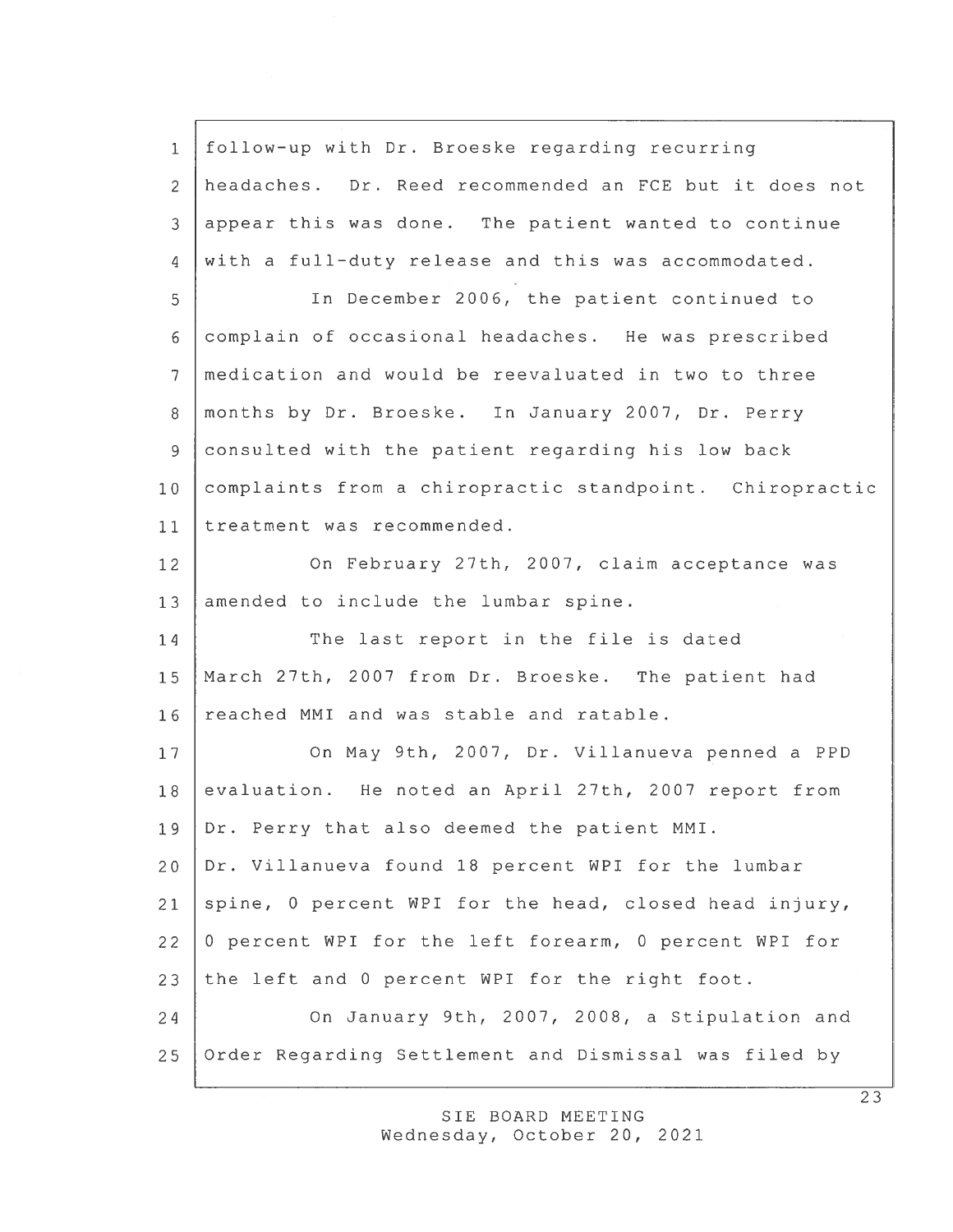1 follow—up with Dr. Broeske regarding recurring 2 headaches. Dr. Reed recommended an FCE but it does not 3 appear this was done. The patient wanted to continue 4 with <sup>a</sup> full—duty release and this was accommodated. 5 In December 2006, the patient continued to 6 complain of occasional headaches. He was prescribed 7 medication and would be reevaluated in two to three 8 months by Dr. Broeske. In January 2007, Dr. Perry 9 consulted with the patient regarding his low back 10 complaints from <sup>a</sup> chiropractic standpoint. Chiropractic 11 treatment was recommended. 12 On February 27th, 2007, claim acceptance was 13 amended to include the lumbar spine. 14 The last report in the file is dated 15 March 27th, 2007 from Dr. Broeske. The patient had 16 reached MMI and was stable and ratable. 17 | On May 9th, 2007, Dr. Villanueva penned a PPD 18 evaluation. He noted an April 27th, 2007 report from 19 Dr. Perry that also deemed the patient MMI. 20 Dr. Villanueva found 18 percen<sup>t</sup> WPI for the lumbar 21 spine, 0 percent WPI for the head, closed head injury, 22 0 percent WPI for the left forearm, 0 percent WPI for 23 the left and 0 percen<sup>t</sup> WPI for the right foot. 24 On January 9th, 2007, 2008, <sup>a</sup> Stipulation and 25 Order Regarding Settlement and Dismissal was filed by

> SIE BOARD MEETING Wednesday, October 20, 2021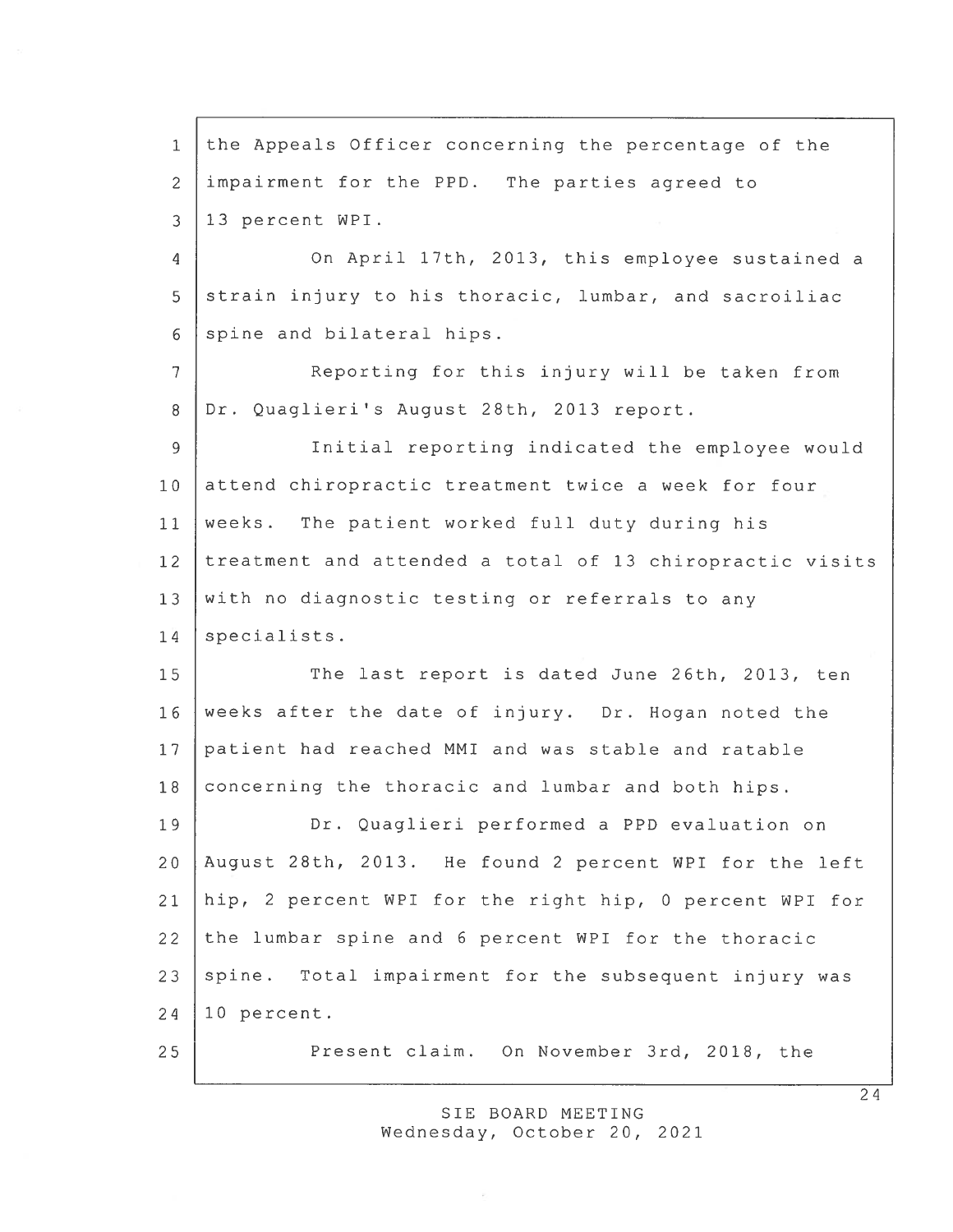1 the Appeals Officer concerning the percentage of the 2 impairment for the PPD. The parties agreed to 3 13 percen<sup>t</sup> WPI. 4 On April 17th, 2013, this employee sustained <sup>a</sup> 5 strain injury to his thoracic, lumbar, and sacroiliac 6 spine and bilateral hips. 7 Reporting for this injury will be taken from 8 Dr. Quaglieri's August 28th, 2013 report. 9 Initial reporting indicated the employee would 10 attend chiropractic treatment twice a week for four 11 weeks. The patient worked full duty during his 12 treatment and attended <sup>a</sup> total of 13 chiropractic visits 13 with no diagnostic testing or referrals to any 14 specialists. 15 The last report is dated June 26th, 2013, ten 16 weeks after the date of injury. Dr. Hogan noted the 17 patient had reached MMI and was stable and ratable 18 concerning the thoracic and lumbar and both hips. 19 Dr. Quaglieri performed <sup>a</sup> PPD evaluation on 20 August 28th, 2013. He found 2 percen<sup>t</sup> WPI for the left 21 hip, 2 percen<sup>t</sup> WPI for the right hip, 0 percen<sup>t</sup> WPI for 22 the lumbar spine and 6 percen<sup>t</sup> WPI for the thoracic  $23$  spine. Total impairment for the subsequent injury was 24 10 percent. 25 Present claim. On November 3rd, 2018, the

> SIE BOARD MEETING Wednesday, October 20, 2021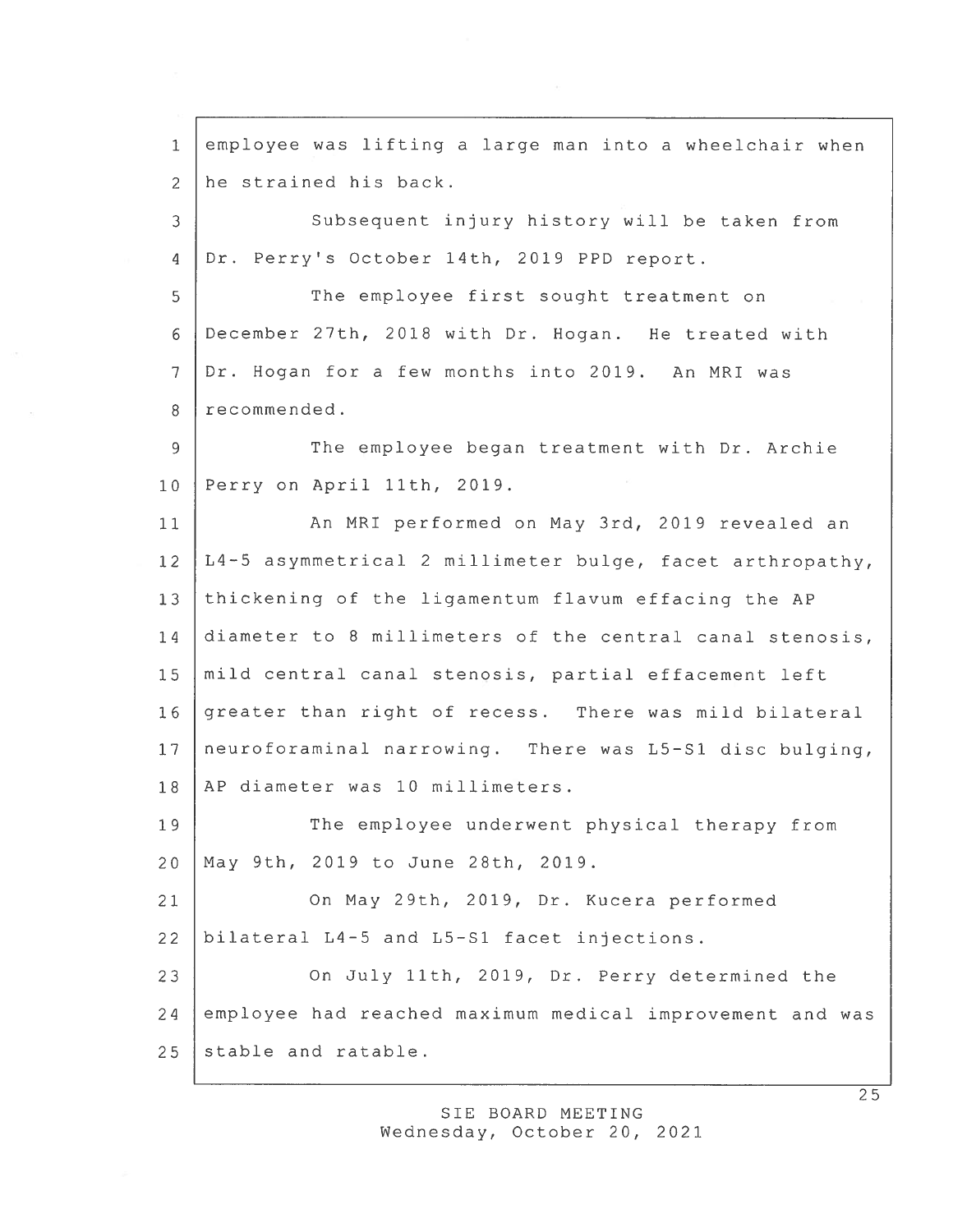employee was lifting <sup>a</sup> large man into <sup>a</sup> wheelchair when 2 he strained his back. Subsequent injury history will be taken from 4 Dr. Perry's October 14th, 2019 PPD report. The employee first sought treatment on December 27th, 2018 with Dr. Hogan. He treated with Dr. Hogan for <sup>a</sup> few months into 2019. An MRI was 8 recommended. 9 The employee began treatment with Dr. Archie Perry on April 11th, 2019. 11 | An MRI performed on May 3rd, 2019 revealed an L4-5 asymmetrical 2 millimeter bulge, facet arthropathy, thickening of the ligamentum flavum effacing the AP 14 diameter to 8 millimeters of the central canal stenosis, mild central canal stenosis, partial effacement left greater than right of recess. There was mild bilateral neuroforaminal narrowing. There was L5—S1 disc bulging, 18 AP diameter was 10 millimeters. 19 The employee underwent physical therapy from May 9th, 2019 to June 28th, 2019. On May 29th, 2019, Dr. Kucera performed bilateral L4-5 and L5—S1 facet injections. On July 11th, 2019, Dr. Perry determined the employee had reached maximum medical improvement and was stable and ratable.

> SIE BOARD MEETING Wednesday, October 20, 2021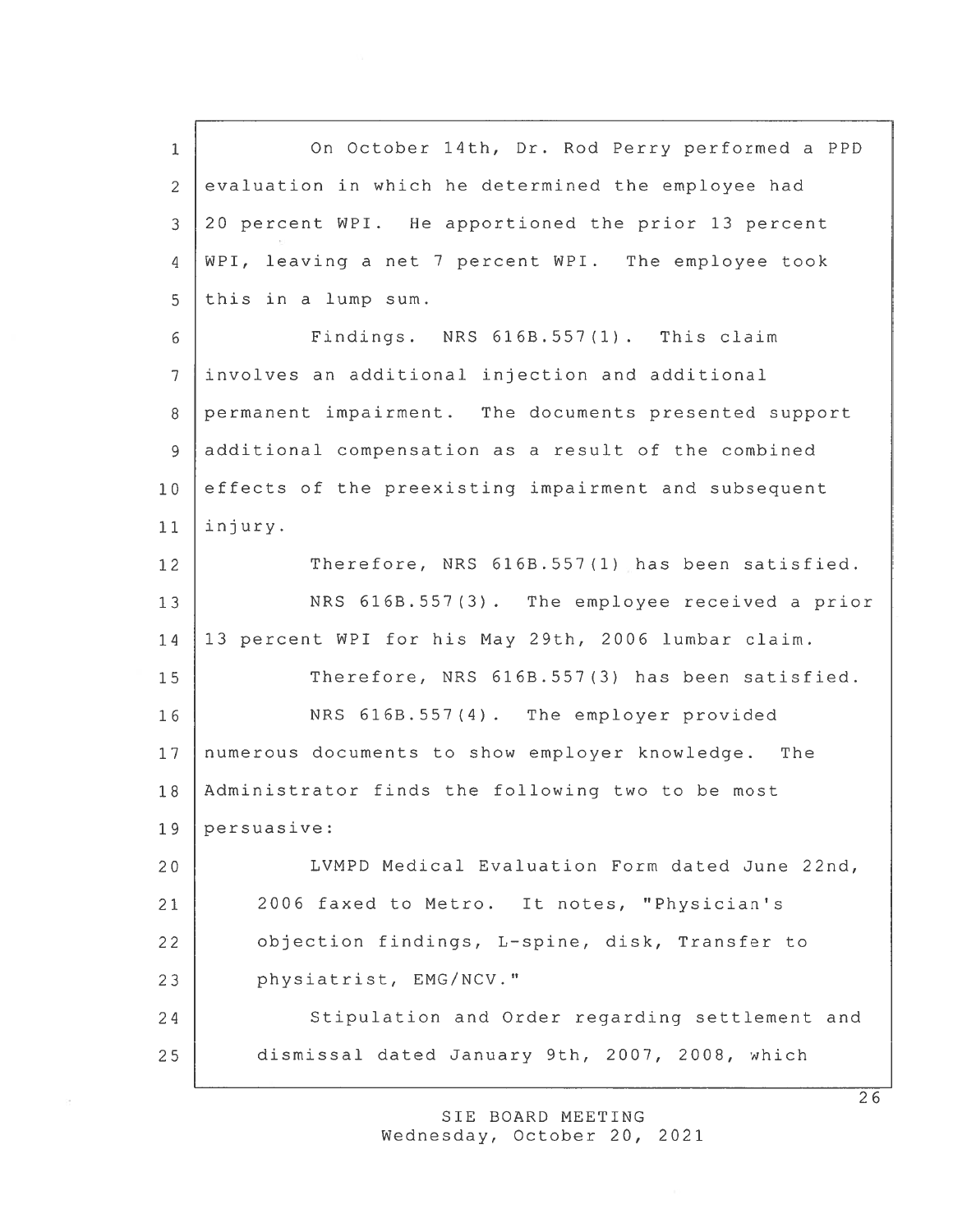On October 14th, Dr. Rod Perry performed <sup>a</sup> PPD 2 evaluation in which he determined the employee had 20 percen<sup>t</sup> WPI. He apportioned the prior 13 percen<sup>t</sup> WPI, leaving <sup>a</sup> net 7 percen<sup>t</sup> WPI. The employee took this in <sup>a</sup> lump sum. Findings. NRS 616B.557 (1) . This claim involves an additional injection and additional permanen<sup>t</sup> impairment. The documents presented suppor<sup>t</sup> additional compensation as <sup>a</sup> result of the combined 10 effects of the preexisting impairment and subsequent 11 injury. 12 Therefore, NRS 616B.557(1) has been satisfied. 13 NRS 616B.557(3). The employee received a prior 13 percen<sup>t</sup> WPI for his May 29th, 2006 lumbar claim. 15 Therefore, NRS 616B.557(3) has been satisfied. NRS 616B.557(4). The employer provided numerous documents to show employer knowledge. The Administrator finds the following two to be most persuasive: LVMPD Medical Evaluation Form dated June 22nd, 2006 faxed to Metro. It notes, "Physician's objection findings, L-spine, disk, Transfer to 23 physiatrist, EMG/NCV." 24 Stipulation and Order regarding settlement and dismissal dated January 9th, 2007, 2008, which

> SIE BOARD MEETING Wednesday, October 20, 2021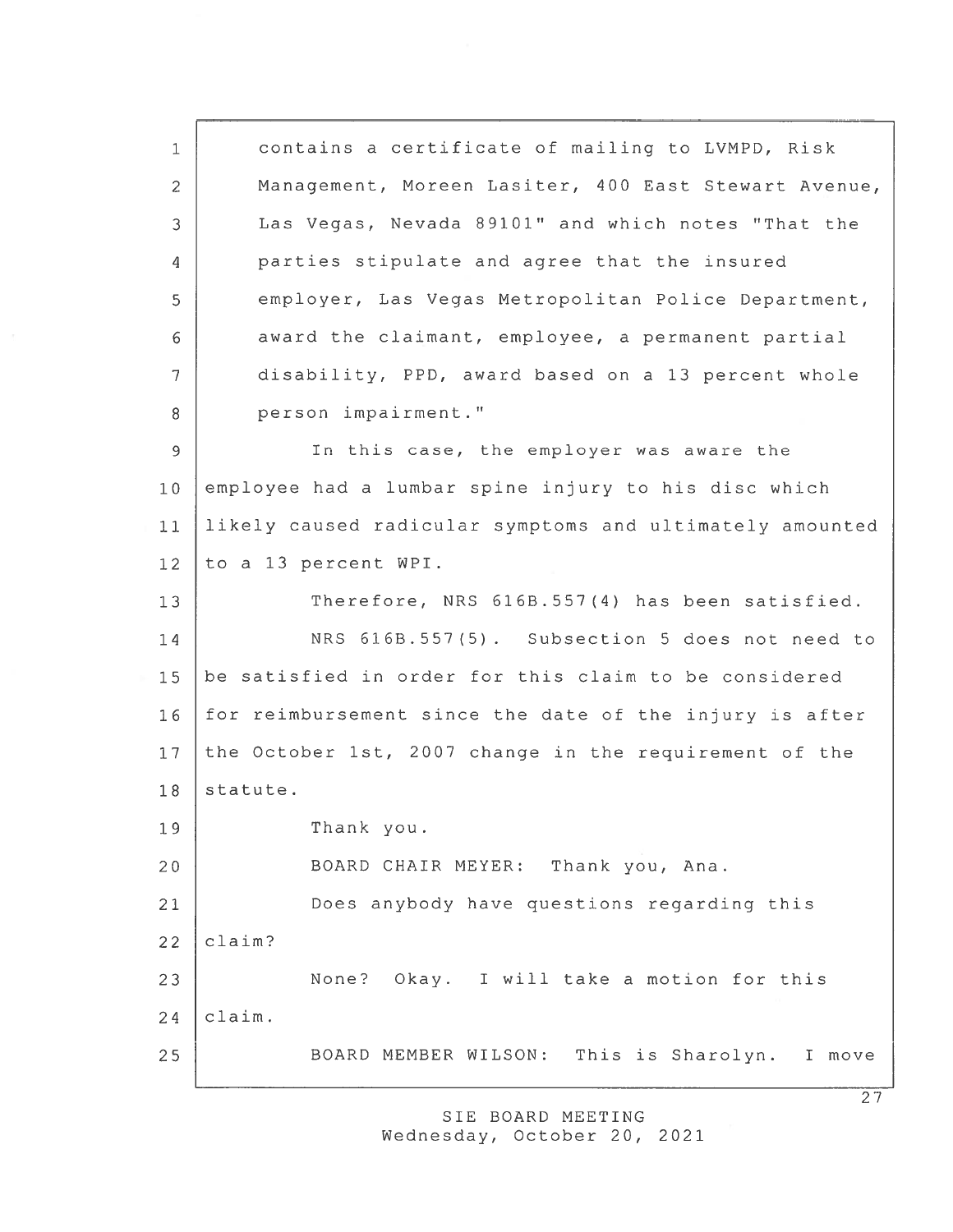contains <sup>a</sup> certificate of mailing to LVMPD, Risk Management, Moreen Lasiter, 400 East Stewart Avenue, Las Vegas, Nevada 89101" and which notes "That the parties stipulate and agree that the insured employer, Las Vegas Metropolitan Police Department, award the claimant, employee, <sup>a</sup> permanen<sup>t</sup> partial disability, PPD, award based on <sup>a</sup> 13 percen<sup>t</sup> whole 8 person impairment." In this case, the employer was aware the employee had <sup>a</sup> lumbar spine injury to his disc which likely caused radicular symptoms and ultimately amounted to <sup>a</sup> 13 percen<sup>t</sup> WPI. 13 Therefore, NRS 616B.557(4) has been satisfied. NRS 616B.557(5) . Subsection 5 does not need to be satisfied in order for this claim to be considered 16 for reimbursement since the date of the injury is after 17 the October 1st, 2007 change in the requirement of the 18 statute. Thank you. BOARD CHAIR MEYER: Thank you, Ana. Does anybody have questions regarding this  $22$  claim? 23 None? Okay. I will take a motion for this  $24$  claim. BOARD MEMBER WILSON: This is Sharolyn. I move

> SIE BOARD MEETING Wednesday, October 20, 2021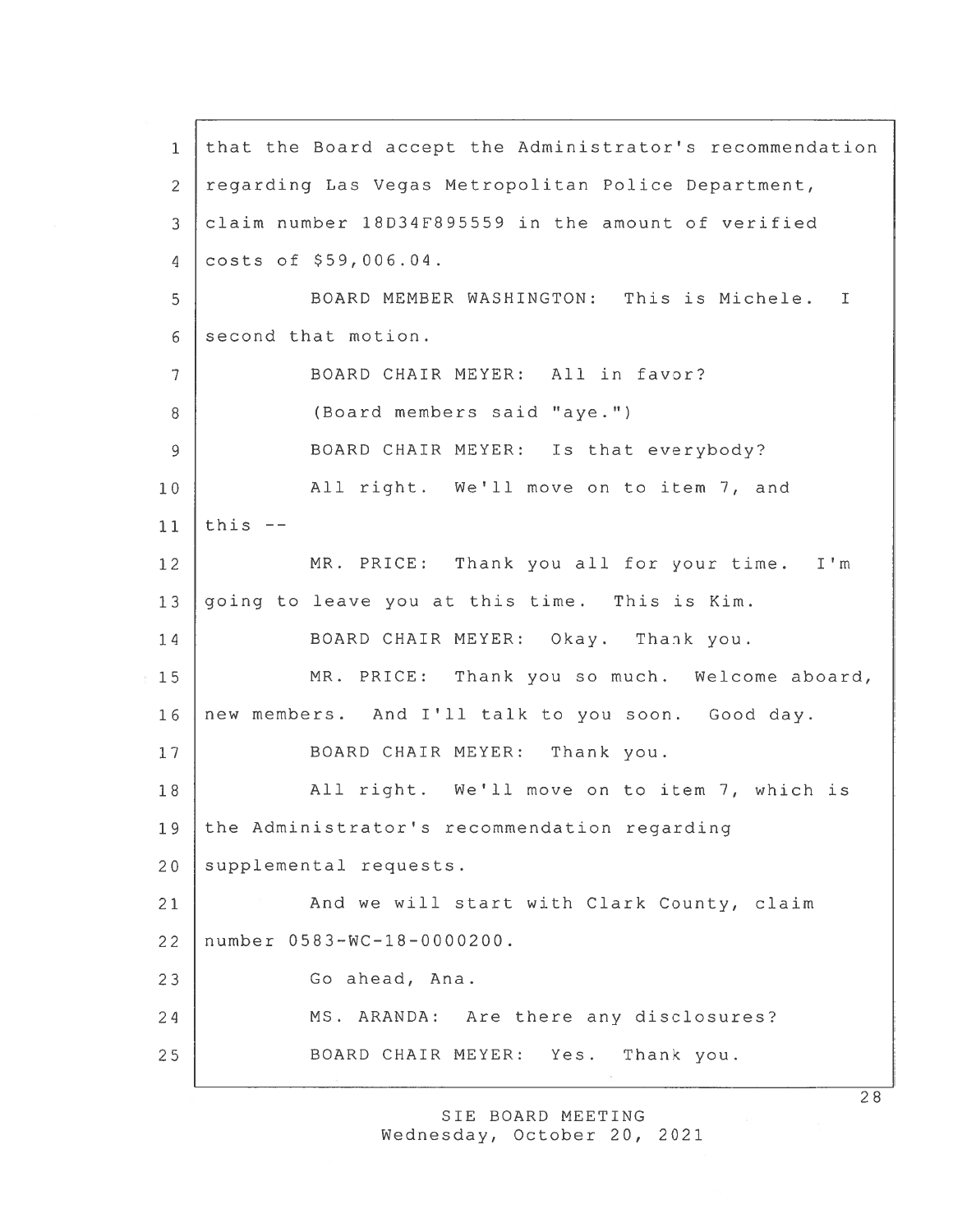that the Board accep<sup>t</sup> the Administrator's recommendation regarding Las Vegas Metropolitan Police Department, claim number 18D34F895559 in the amount of verified costs of \$59,006.04. BOARD MEMBER WASHINGTON: This is Michele.  $\mathbf I$ 6 second that motion. BOARD CHAIR MEYER: All in favor? (Board members said "aye.") 9 BOARD CHAIR MEYER: Is that everybody? All right. We'll move on to item 7, and 11 | this  $-$  MR. PRICE: Thank you all for your time. I'm going to leave you at this time. This is Kim. BOARD CHAIR MEYER: Okay. Thank you. MR. PRICE: Thank you so much. Welcome aboard, new members. And I'll talk to you soon. Good day. 17 | BOARD CHAIR MEYER: Thank you. 18 | All right. We'll move on to item 7, which is the Administrator's recommendation regarding 20 supplemental requests. 21 | And we will start with Clark County, claim number 0583—WC—18—0000200. 23 Go ahead, Ana. 24 | MS. ARANDA: Are there any disclosures? BOARD CHAIR MEYER: Yes. Thank you.

> SIE BOARD MEETING Wednesday, October 20, 2021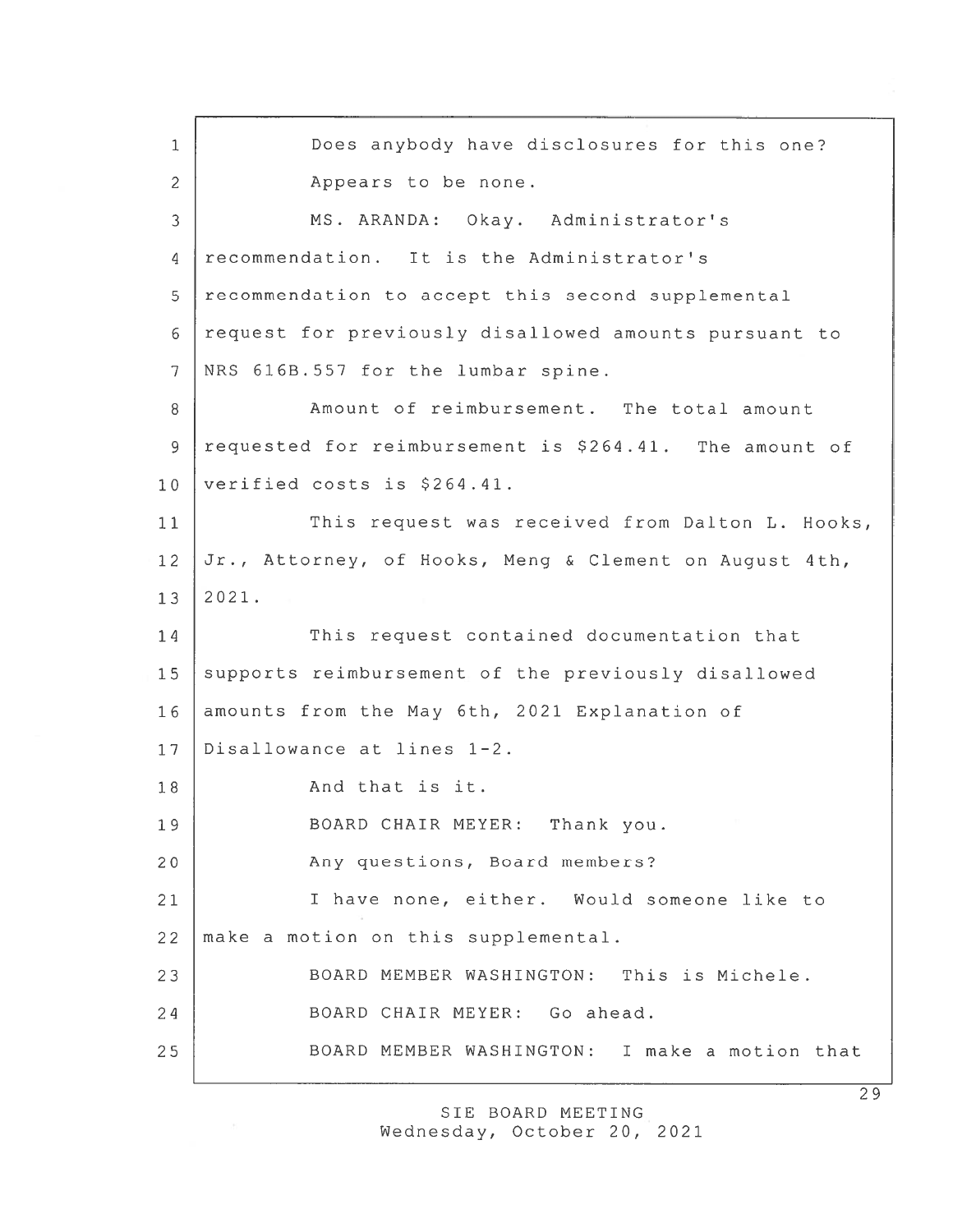1 Does anybody have disclosures for this one? 2 Appears to be none. 3 MS. ARANDA: Okay. Administrator's 4 recommendation. It is the Administrator's 5 recommendation to accept this second supplemental 6 reques<sup>t</sup> for previously disallowed amounts pursuan<sup>t</sup> to 7 NRS 616B.557 for the lumbar spine. 8 Amount of reimbursement. The total amount 9 requested for reimbursement is \$264.41. The amount of 10 verified costs is \$264.41. 11 This request was received from Dalton L. Hooks, 12 Jr., Attorney, of Hooks, Meng & Clement on August 4th, 13 2021. 14 This request contained documentation that 15 supports reimbursement of the previously disallowed 16 amounts from the May 6th, 2021 Explanation of 17 Disallowance at lines 1-2. 18 | And that is it. 19 | BOARD CHAIR MEYER: Thank you. 20 Any questions, Board members? 21 I have none, either. Would someone like to 22 | make a motion on this supplemental. 23 BOARD MEMBER WASHINGTON: This is Michele. 24 BOARD CHAIR MEYER: Go ahead. 25 BOARD MEMBER WASHINGTON: I make <sup>a</sup> motion that

> SIE BOARD MEETING Wednesday, October 20, 2021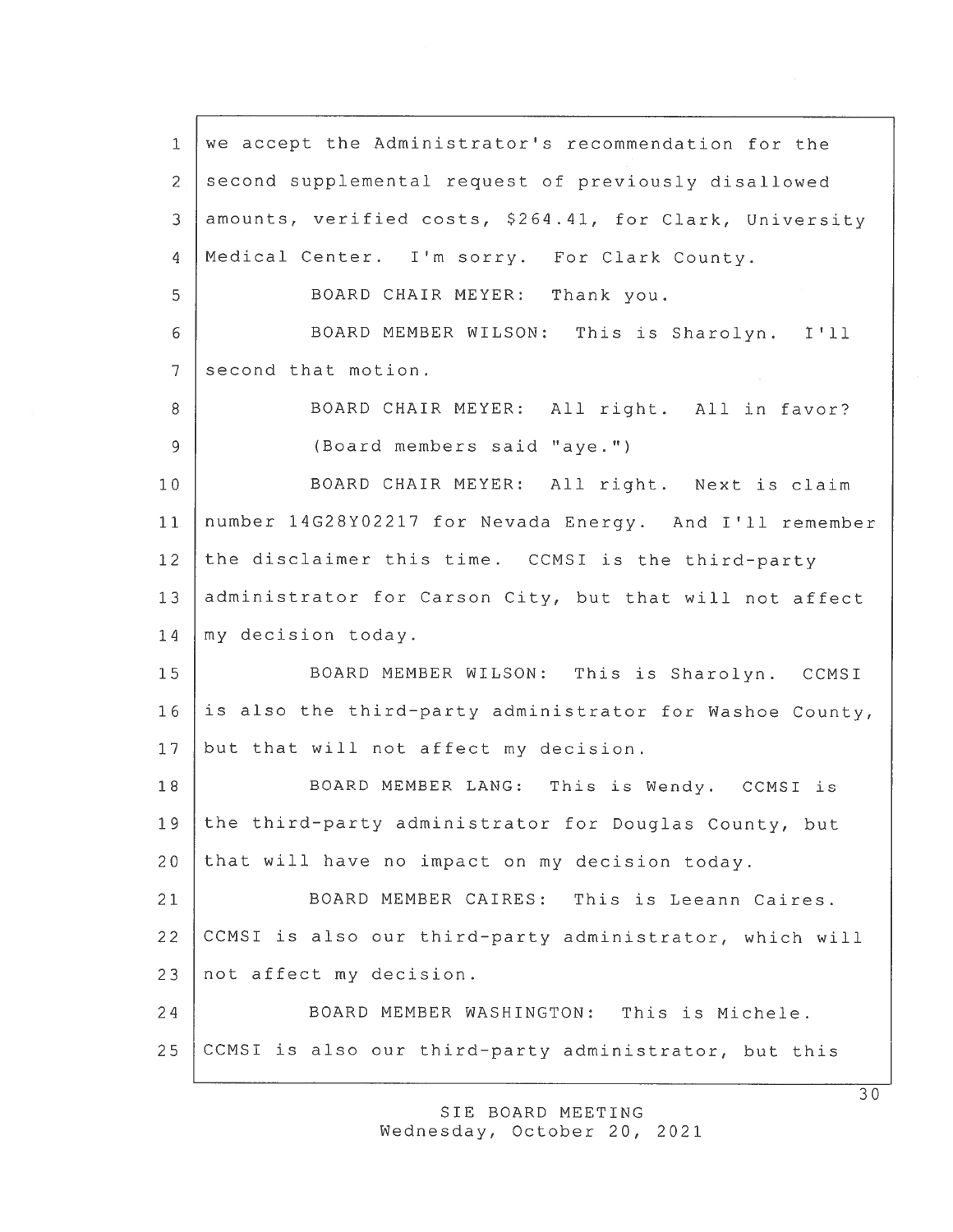we accep<sup>t</sup> the Administrator's recommendation for the 2 second supplemental request of previously disallowed amounts, verified costs, \$264.11, for Clark, University Medical Center. I'm sorry. For Clark County. BOARD CHAIR MEYER: Thank you. BOARD MEMBER WILSON: This is Sharolyn. I'll 7 second that motion. 8 BOARD CHAIR MEYER: All right. All in favor? (Board members said "aye.") BOARD CHAIR MEYER: All right. Next is claim number 14G28Y02217 for Nevada Energy. And I'll remember the disclaimer this time. CCMSI is the third-party 13 administrator for Carson City, but that will not affect 14 | my decision today. BOARD MEMBER WILSON: This is Sharolyn. CCMSI is also the third-party administrator for Washoe County, 17 but that will not affect my decision. 18 | BOARD MEMBER LANG: This is Wendy. CCMSI is the third—party administrator for Douglas County, but that will have no impact on my decision today. BOARD MEMBER CAIRES: This is Leeann Caires. CCMSI is also our third—party administrator, which will not affect my decision. BOARD MEMBER WASHINGTON: This is Michele. CCMSI is also our third-party administrator, but this

> SIE BOARD MEETING Wednesday, October 20, 2021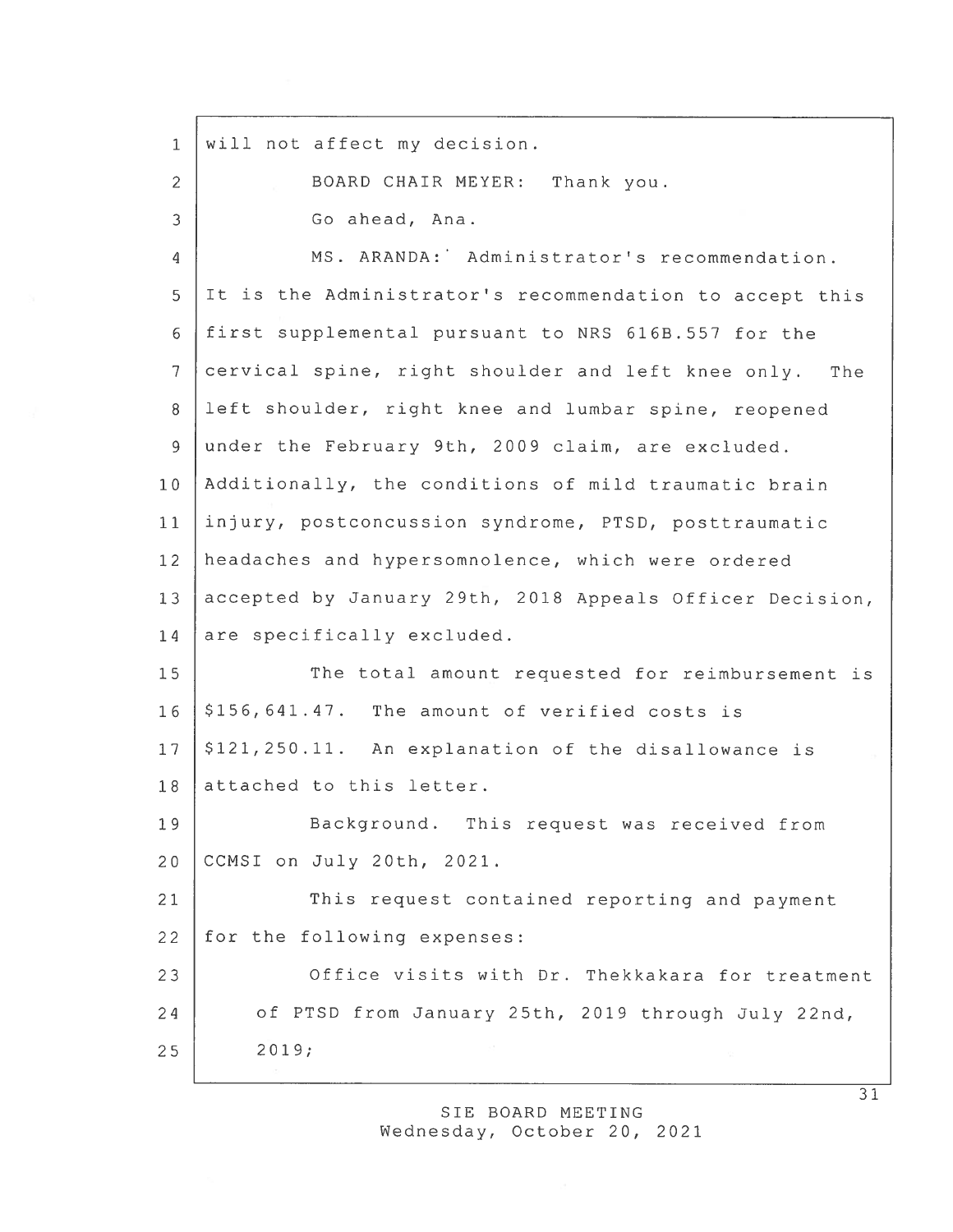1 will not affect my decision. 2 BOARD CHAIR MEYER: Thank you. 3 Go ahead, Ana. 4 MS. ARANDA: Administrator's recommendation. <sup>5</sup> It is the Administrator's recommendation to accep<sup>t</sup> this 6 first supplemental pursuan<sup>t</sup> to NRS 616B.557 for the <sup>7</sup> cervical spine, right shoulder and left knee only. The 8 left shoulder, right knee and lumbar spine, reopened 9 under the Eebruary 9th, 2009 claim, are excluded. 10 Additionally, the conditions of mild traumatic brain <sup>11</sup> injury, postconcussion syndrome, PTSD, posttraumatic 12 headaches and hypersomnolence, which were ordered 13 accepted by January 29th, 2018 Appeals Officer Decision, 14 are specifically excluded. 15 The total amount requested for reimbursement is  $16$   $\mid$  \$156,641.47. The amount of verified costs is  $17 \mid $121,250.11$ . An explanation of the disallowance is 18 attached to this letter. 19 Background. This request was received from 20 CCMSI on July 20th, 2021. 21 This request contained reporting and payment 22 for the following expenses: 23 Office visits with Dr. Thekkakara for treatment <sup>24</sup> of PTSD from January 25th, 2019 through July 22nd, 25 2019;

> SIE BOARD MEETING Wednesday, October 20, 2021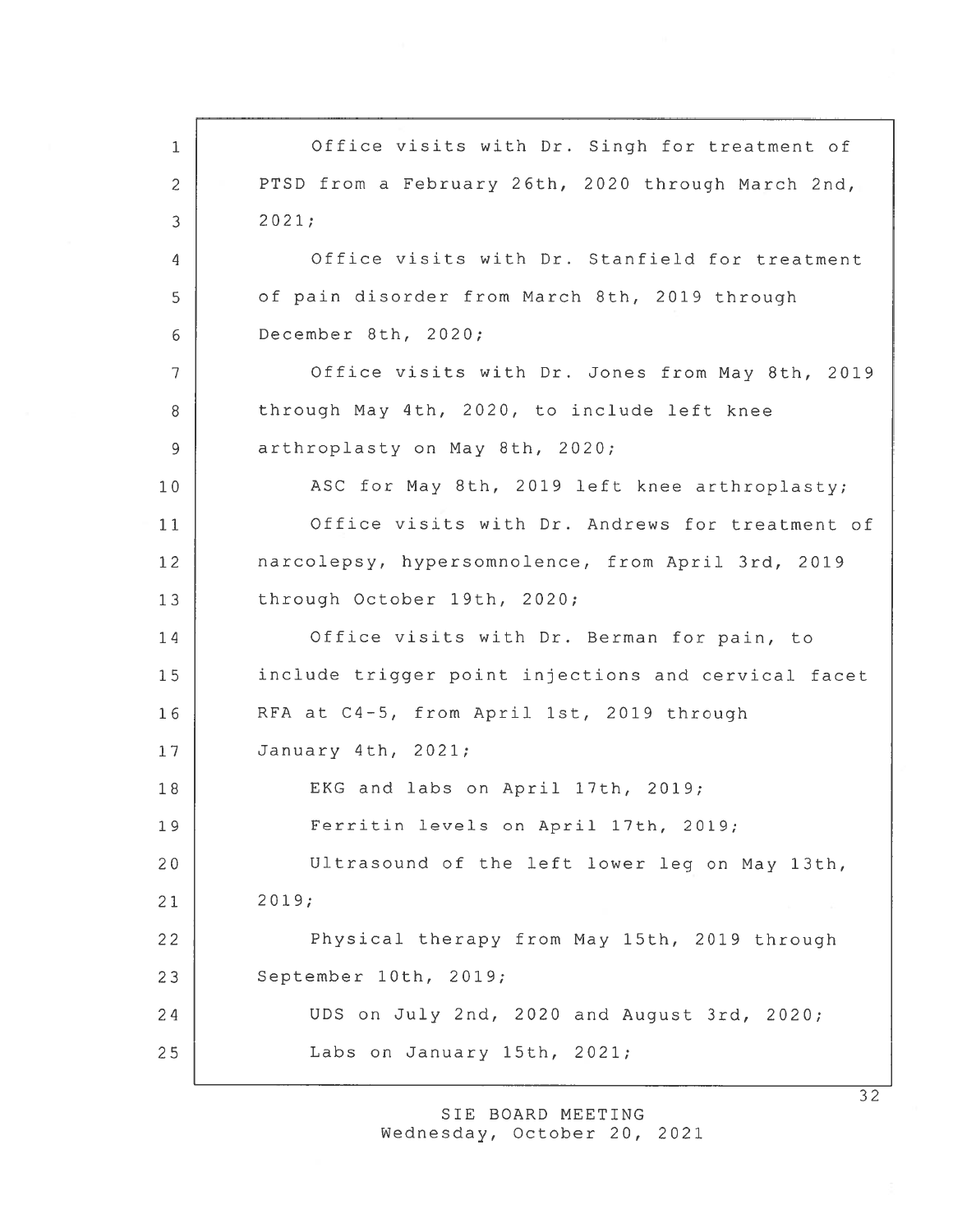1 Office visits with Dr. Singh for treatment of 2 PTSD from a February 26th, 2020 through March 2nd, 3 2021; 4 Office visits with Dr. Stanfield for treatment 5 | of pain disorder from March 8th, 2019 through 6 December 8th, 2020; 7 | Office visits with Dr. Jones from May 8th, 2019 8 through May 4th, 2020, to include left knee 9 arthroplasty on May 8th, 2020; 10 | ASC for May 8th, 2019 left knee arthroplasty; 11 Office visits with Dr. Andrews for treatment of 12 narcolepsy, hypersomnolence, from April 3rd, 2019 13 through October 19th, 2020; 14 Office visits with Dr. Berman for pain, to 15 include trigger point injections and cervical facet 16 RFA at C4-5, from April 1st, 2019 through 17 January 4th, 2021; 18 EKG and labs on April 17th, 2019; 19 Ferritin levels on April 17th, 2019; 20 Ultrasound of the left lower leg on May 13th, 21 2019; <sup>22</sup> Physical therapy from May 15th, 2019 through 23 September 10th, 2019; 24 UDS on July 2nd, 2020 and August 3rd, 2020; 25 Labs on January 15th, 2021;

> SIE BOARD MEETING Wednesday, October 20, 2021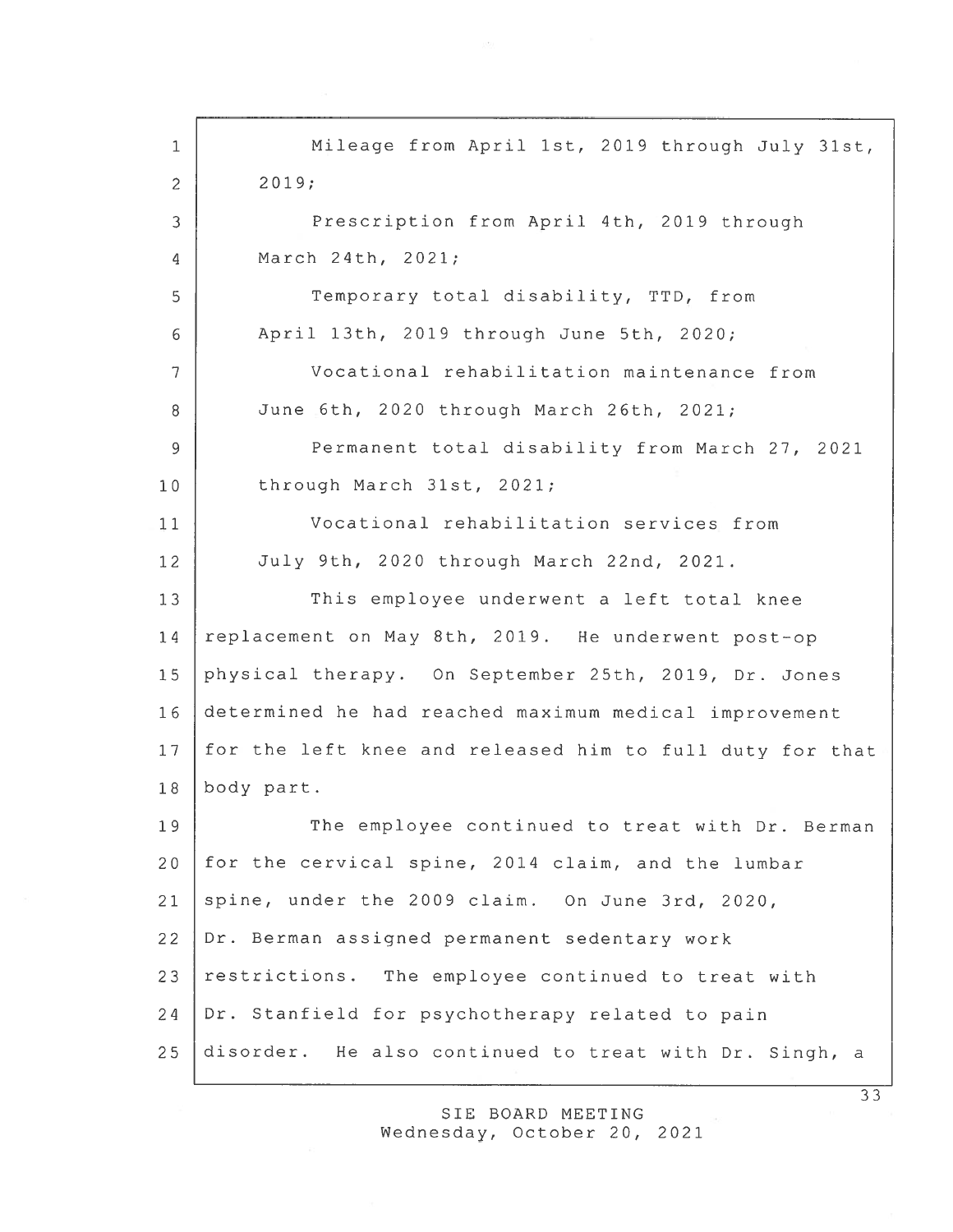1 Mileage from April 1st, 2019 through July 31st,  $2 | 2019;$ 3 Prescription from April 4th, 2019 through March 24th, 2021; 5 Temporary total disability, TTD, from April 13th, 2019 through June 5th, 2020; Vocational rehabilitation maintenance from June 6th, 2020 through March 26th, 2021; Permanent total disability from March 27, 2021 10 through March 31st, 2021; Vocational rehabilitation services from July 9th, 2020 through March 22nd, 2021. 13 | This employee underwent a left total knee 14 replacement on May 8th, 2019. He underwent post-op physical therapy. On September 25th, 2019, Dr. Jones determined he had reached maximum medical improvement for the left knee and released him to full duty for that body part. 19 The employee continued to treat with Dr. Berman for the cervical spine, 2014 claim, and the lumbar spine, under the 2009 claim. On June 3rd, 2020, Dr. Berman assigned permanen<sup>t</sup> sedentary work 23 restrictions. The employee continued to treat with Dr. Stanfield for psychotherapy related to pain disorder. He also continued to treat with Dr. Singh, <sup>a</sup>

> SIE BOARD MEETING wednesday, October 20, 2021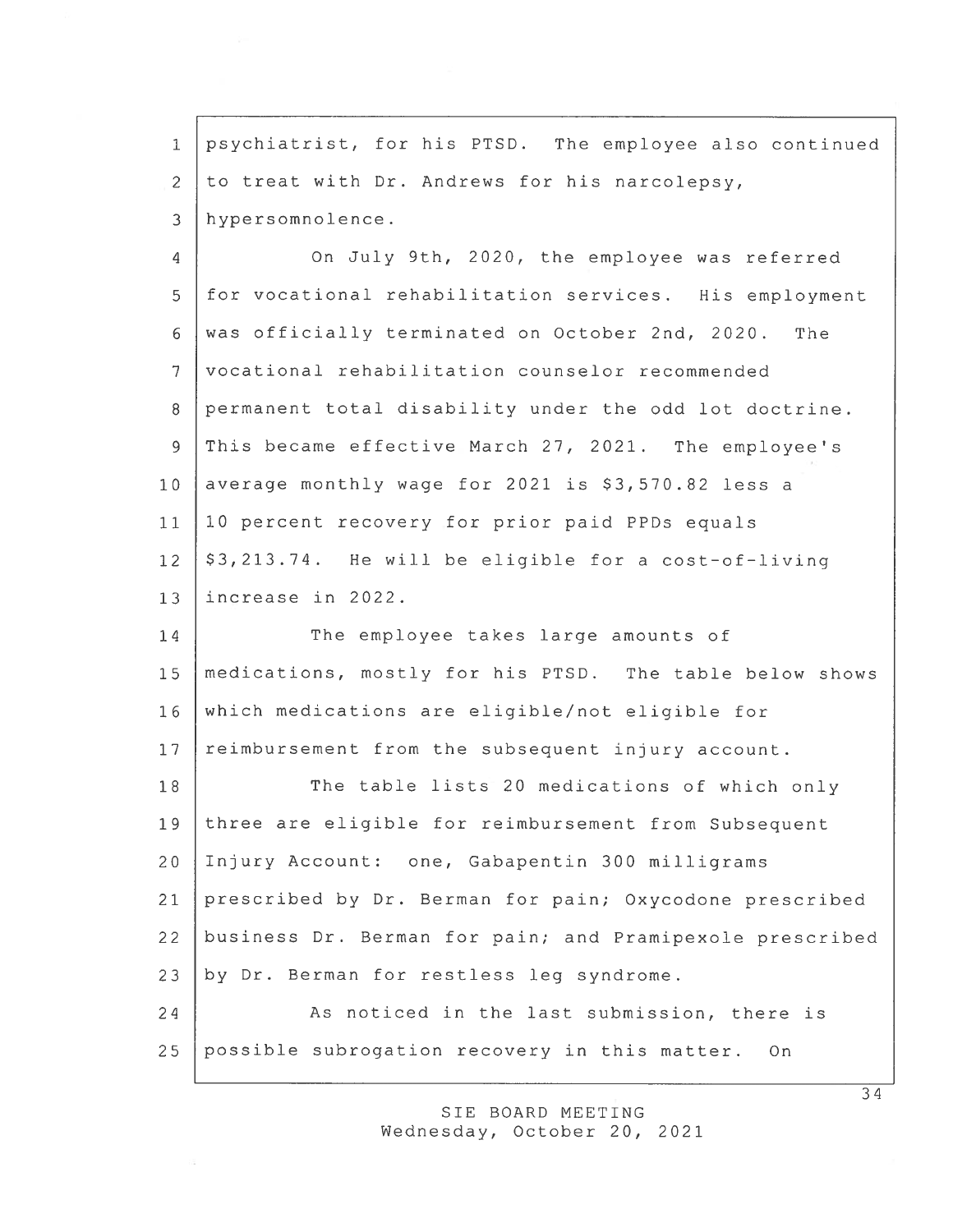1 psychiatrist, for his PTSD. The employee also continued 2 to treat with Dr. Andrews for his narcolepsy, 3 hypersomnolence.

On July 9th, 2020, the employee was referred  $\overline{4}$ 5 for vocational rehabilitation services. His employment 6 was officially terminated on October 2nd, 2020. The 7 vocational rehabilitation counselor recommended 8 permanent total disability under the odd lot doctrine. 9 This became effective March 27, 2021. The employee's 10 average monthly wage for 2021 is  $$3,570.82$  less a 11 10 percen<sup>t</sup> recovery for prior paid PPD5 equals  $12 \mid $3,213.74$ . He will be eligible for a cost-of-living 13 increase in 2022.

14 The employee takes large amounts of 15 medications, mostly for his PTSD. The table below shows 16 which medications are eligible/not eligible for 17 reimbursement from the subsequent injury account.

18 The table lists 20 medications of which only three are eligible for reimbursement from Subsequent Injury Account: one, Gabapentin 300 milligrams prescribed by Dr. Berman for pain; Oxycodone prescribed business Dr. Berman for pain; and Pramipexole prescribed by Dr. Berman for restless leg syndrome. 24 As noticed in the last submission, there is possible subrogation recovery in this matter. On

> SIE BOARD MEETING Wednesday, October 20, 2021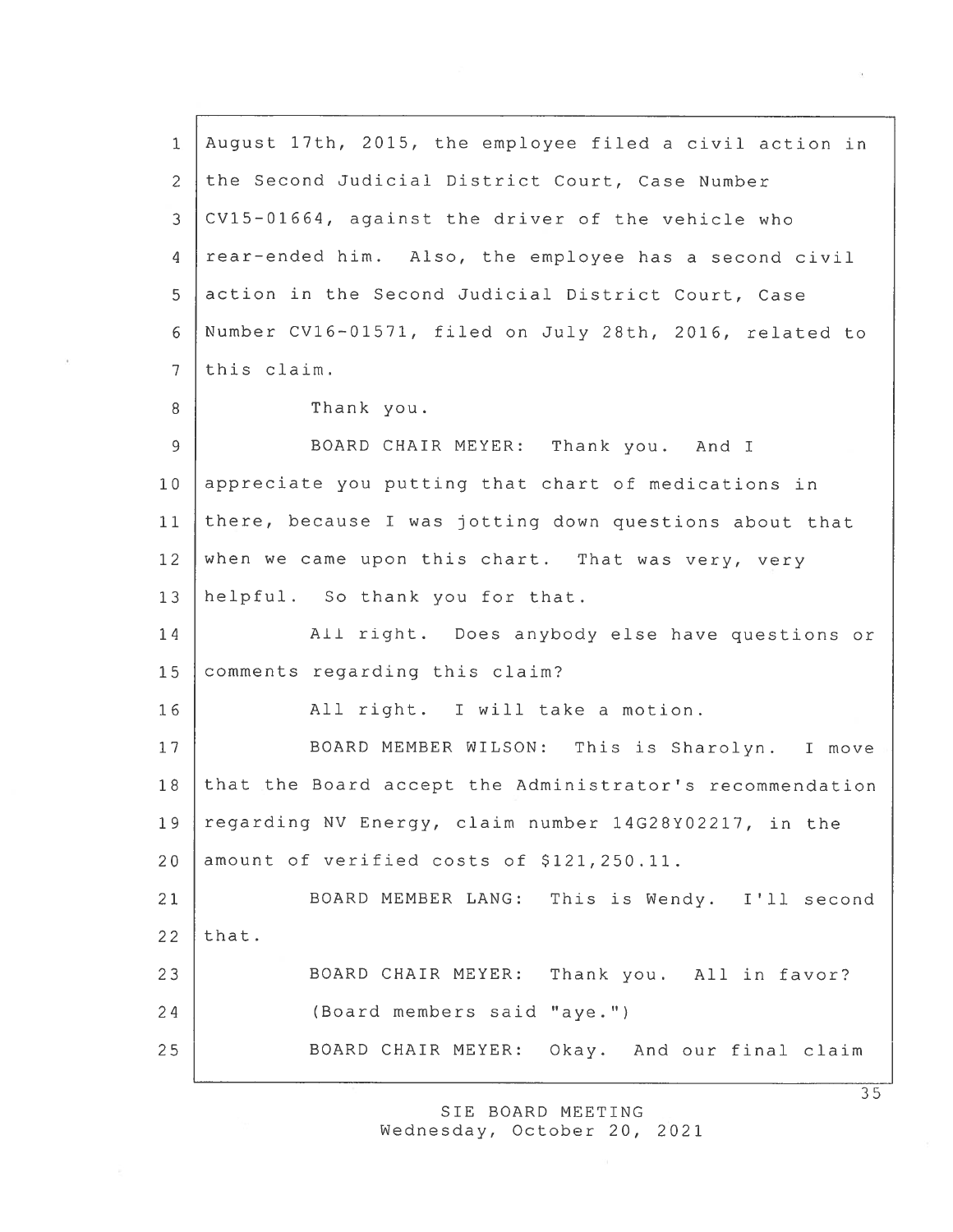1 August 17th, 2015, the employee filed <sup>a</sup> civil action in 2 the Second Judicial District Court, Case Number 3 CV15—01664, against the driver of the vehicle who 4 rear-ended him. Also, the employee has a second civil 5 action in the Second Judicial District Court, Case 6 Number CV16—01571, filed on July 28th, 2016, related to 7 this claim. 8 Thank you. 9 BOARD CHAIR MEYER: Thank you. And <sup>I</sup> 10 appreciate you putting that chart of medications in 11 there, because <sup>I</sup> was jotting down questions about that <sup>12</sup> when we came upon this chart. That was very, very 13 helpful. So thank you for that. 14 | All right. Does anybody else have questions or 15 comments regarding this claim? 16 All right. I will take <sup>a</sup> motion. 17 | BOARD MEMBER WILSON: This is Sharolyn. I move 18 that the Board accep<sup>t</sup> the Administrator's recommendation 19 regarding NV Energy, claim number 14G28Y02217, in the 20 amount of verified costs of \$121,250.11. 21 BOARD MEMBER LANG: This is Wendy. I'll second  $22$  that. 23 BOARD CHAIR MEYER: Thank you. All in favor? 24 (Board members said "aye.") 25 BOARD CHAIR MEYER: Okay. And our final claim

> SIE BOARD MEETING Wednesday, October 20, 2021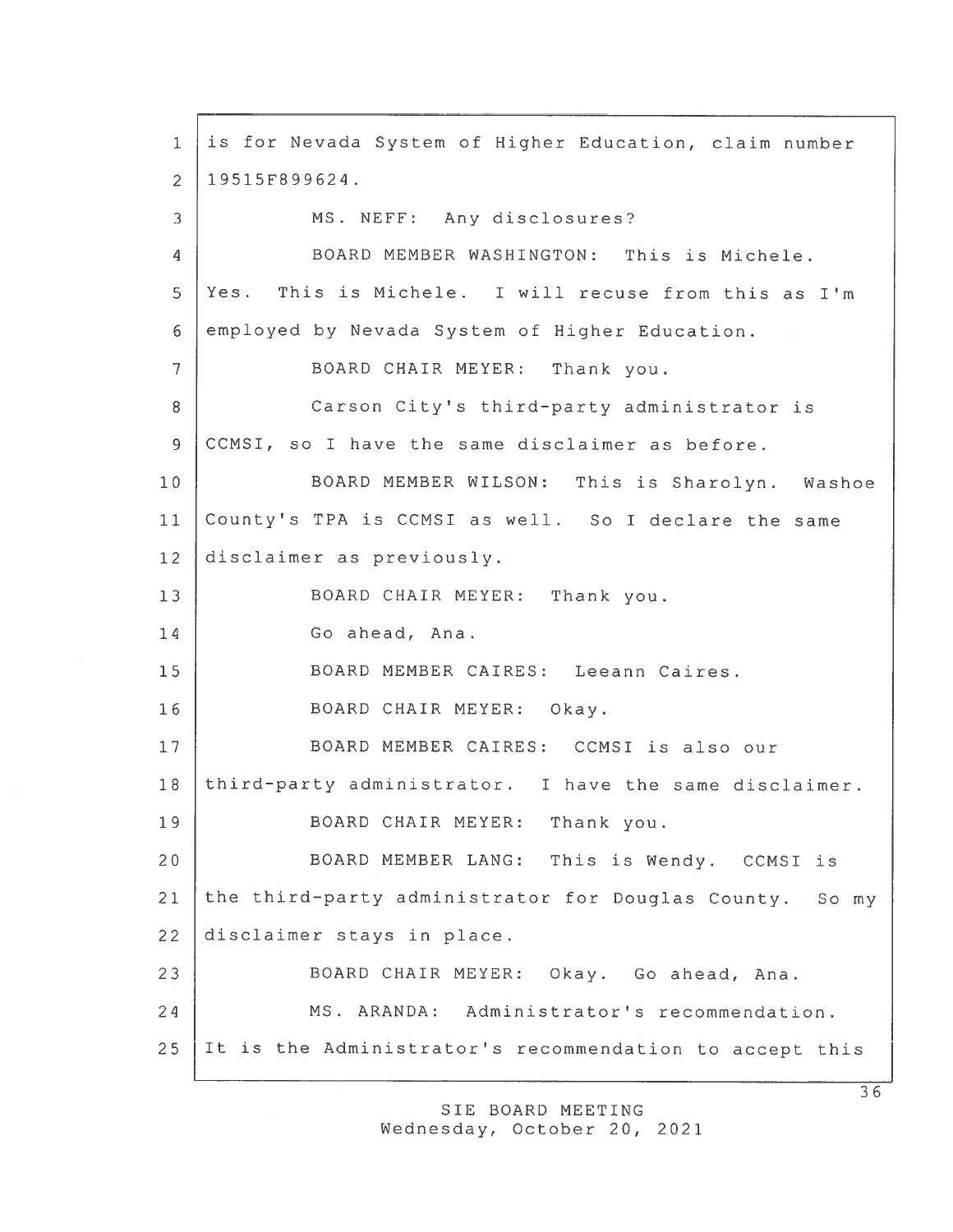is for Nevada System of Higher Education, claim number 19515F899624. 3 MS. NEFF: Any disclosures? BOARD MEMBER WASHINGTON: This is Michele. Yes. This is Michele. I will recuse from this as I'm employed by Nevada System of Higher Education. BOARD CHAIR MEYER: Thank you. 8 | Carson City's third-party administrator is CCMSI, so I have the same disclaimer as before. BOARD MEMBER WILSON: This is Sharolyn. Washoe County's TPA is CCMSI as well. So I declare the same disclaimer as previously. 13 | BOARD CHAIR MEYER: Thank you. Go ahead, Ana. BOARD MEMBER CAIRES: Leeann Caires. BOARD CHAIR MEYER: Okay. 17 | BOARD MEMBER CAIRES: CCMSI is also our 18 third-party administrator. I have the same disclaimer. 19 | BOARD CHAIR MEYER: Thank you. BOARD MEMBER LANG: This is Wendy. CCMSI is 21 the third-party administrator for Douglas County. So my disclaimer stays in place. BOARD CHAIR MEYER: Okay. Go ahead, Ana. MS. ARANDA: Administrator's recommendation. It is the Administrator's recommendation to accep<sup>t</sup> this

> SIE BOARD MEETING Wednesday, October 20, 2021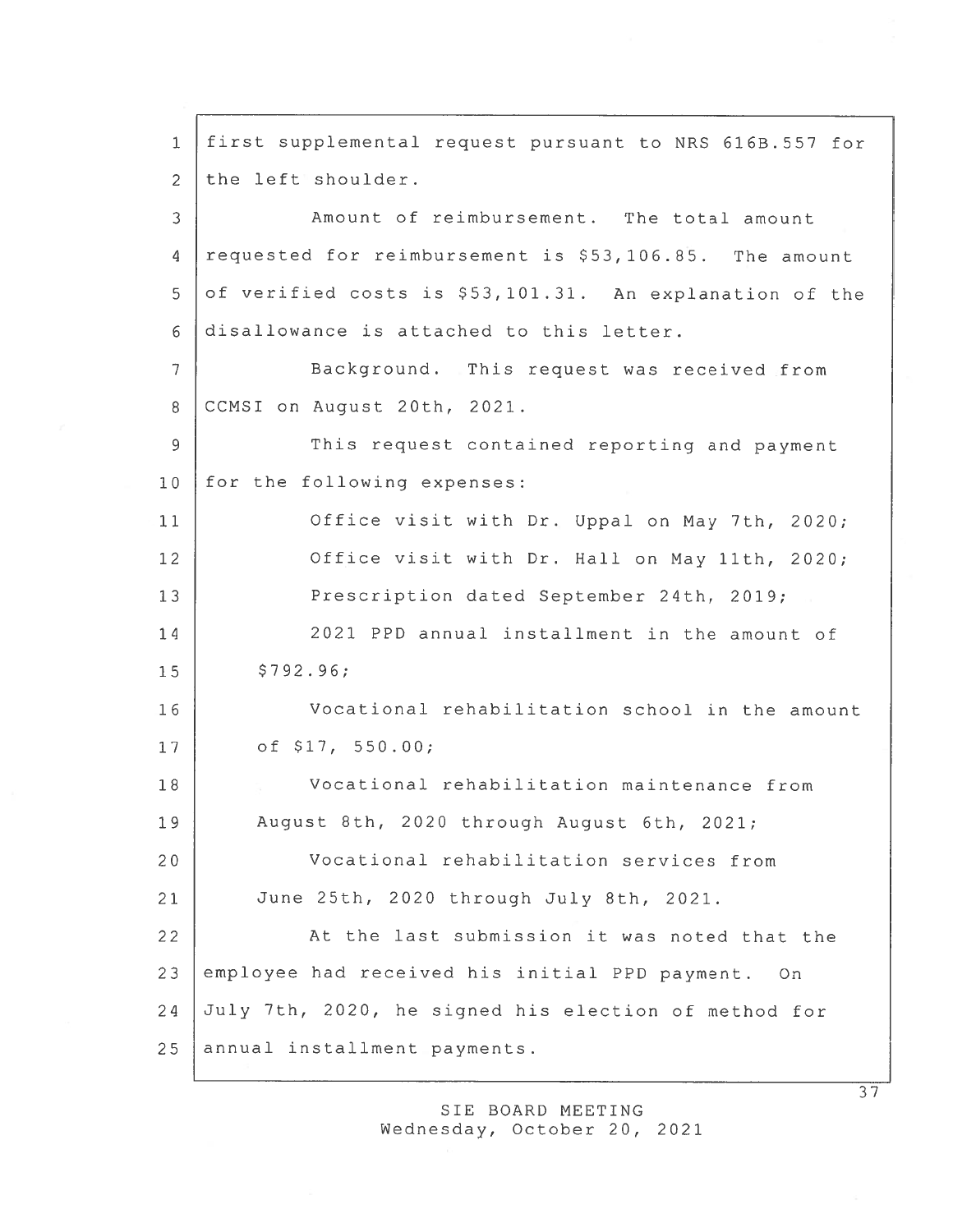1 first supplemental reques<sup>t</sup> pursuan<sup>t</sup> to NRS 6l6B.557 for 2 the left shoulder. 3 Amount of reimbursement. The total amount 4 requested for reimbursement is \$53,106.85. The amount 5 of verified costs is \$53,101.31. An explanation of the 6 disallowance is attached to this letter. 7 Background. This reques<sup>t</sup> was received from 8 CCMSI on August 20th, 2021. 9 This request contained reporting and payment 10 for the following expenses: 11 Office visit with Dr. Uppal on May 7th, 2020; 12 Office visit with Dr. Hall on May 11th, 2020; 13 Prescription dated September 24th, 2019; 14 2021 PPD annual installment in the amount of  $15$   $$792.96$ ; 16 Vocational rehabilitation school in the amount 17 of \$17, 550.00; 18 Vocational rehabilitation maintenance from 19 August 8th, 2020 through August 6th, 2021; 20 Vocational rehabilitation services from 21 June 25th, 2020 through July 8th, 2021. 22 At the last submission it was noted that the 23 employee had received his initial PPD payment. On 24 July 7th, 2020, he signed his election of method for 25 annual installment payments.

> SIE BOARD MEETING Wednesday, October 20, 2021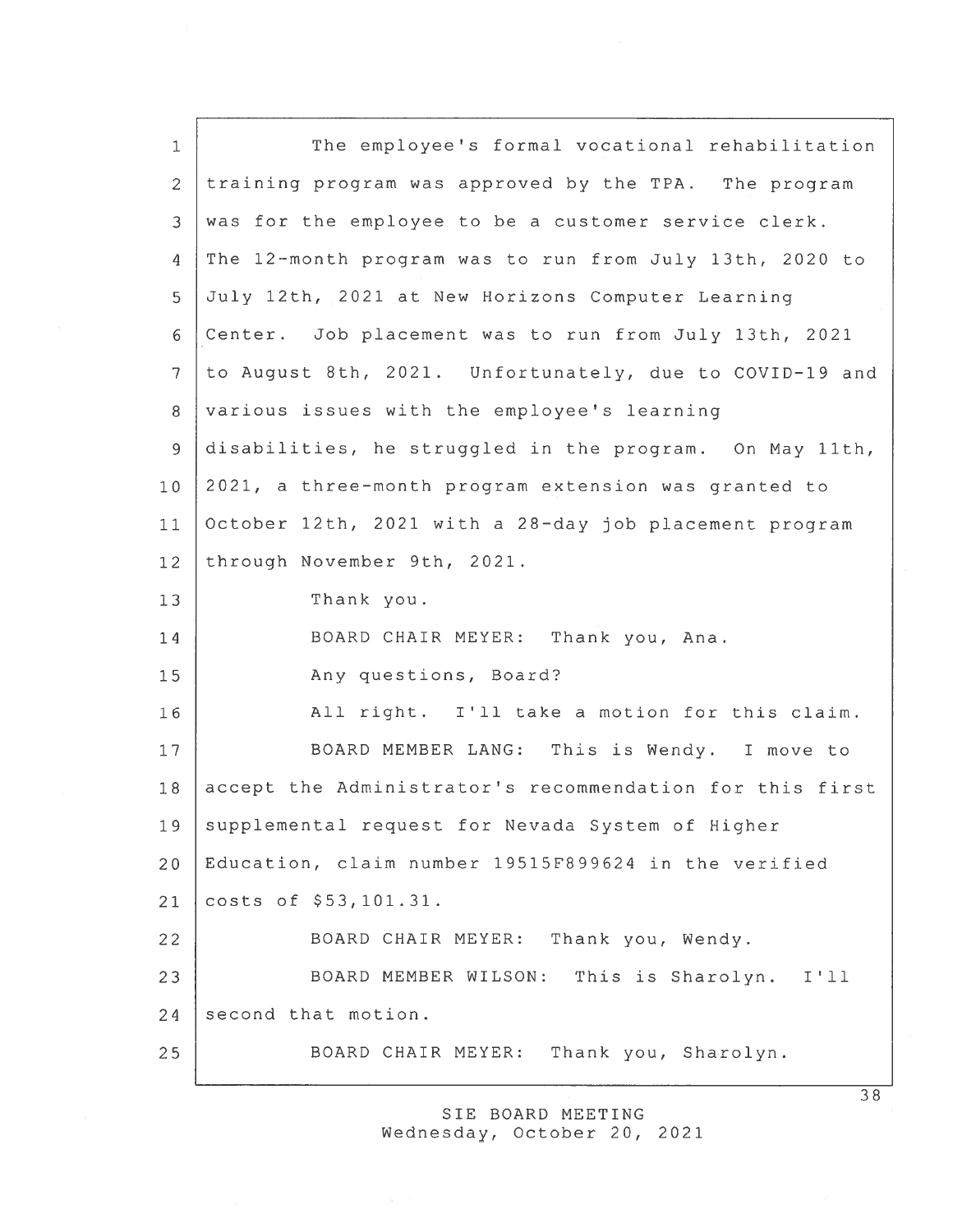| The employee's formal vocational rehabilitation          |
|----------------------------------------------------------|
| training program was approved by the TPA. The program    |
| was for the employee to be a customer service clerk.     |
| The 12-month program was to run from July 13th, 2020 to  |
| July 12th, 2021 at New Horizons Computer Learning        |
| Center. Job placement was to run from July 13th, 2021    |
| to August 8th, 2021. Unfortunately, due to COVID-19 and  |
| various issues with the employee's learning              |
| disabilities, he struggled in the program. On May 11th,  |
| 2021, a three-month program extension was granted to     |
| October 12th, 2021 with a 28-day job placement program   |
| through November 9th, 2021.                              |
| Thank you.                                               |
| BOARD CHAIR MEYER: Thank you, Ana.                       |
| Any questions, Board?                                    |
| All right. I'll take a motion for this claim.            |
| BOARD MEMBER LANG: This is Wendy. I move to              |
| accept the Administrator's recommendation for this first |
| supplemental request for Nevada System of Higher         |
| Education, claim number 19515F899624 in the verified     |
| costs of \$53,101.31.                                    |
| BOARD CHAIR MEYER:<br>Thank you, Wendy.                  |
|                                                          |
| BOARD MEMBER WILSON: This is Sharolyn.<br>I'11           |
| second that motion.                                      |
|                                                          |

SIE BOARD MEETING Wednesday, October 20, 2021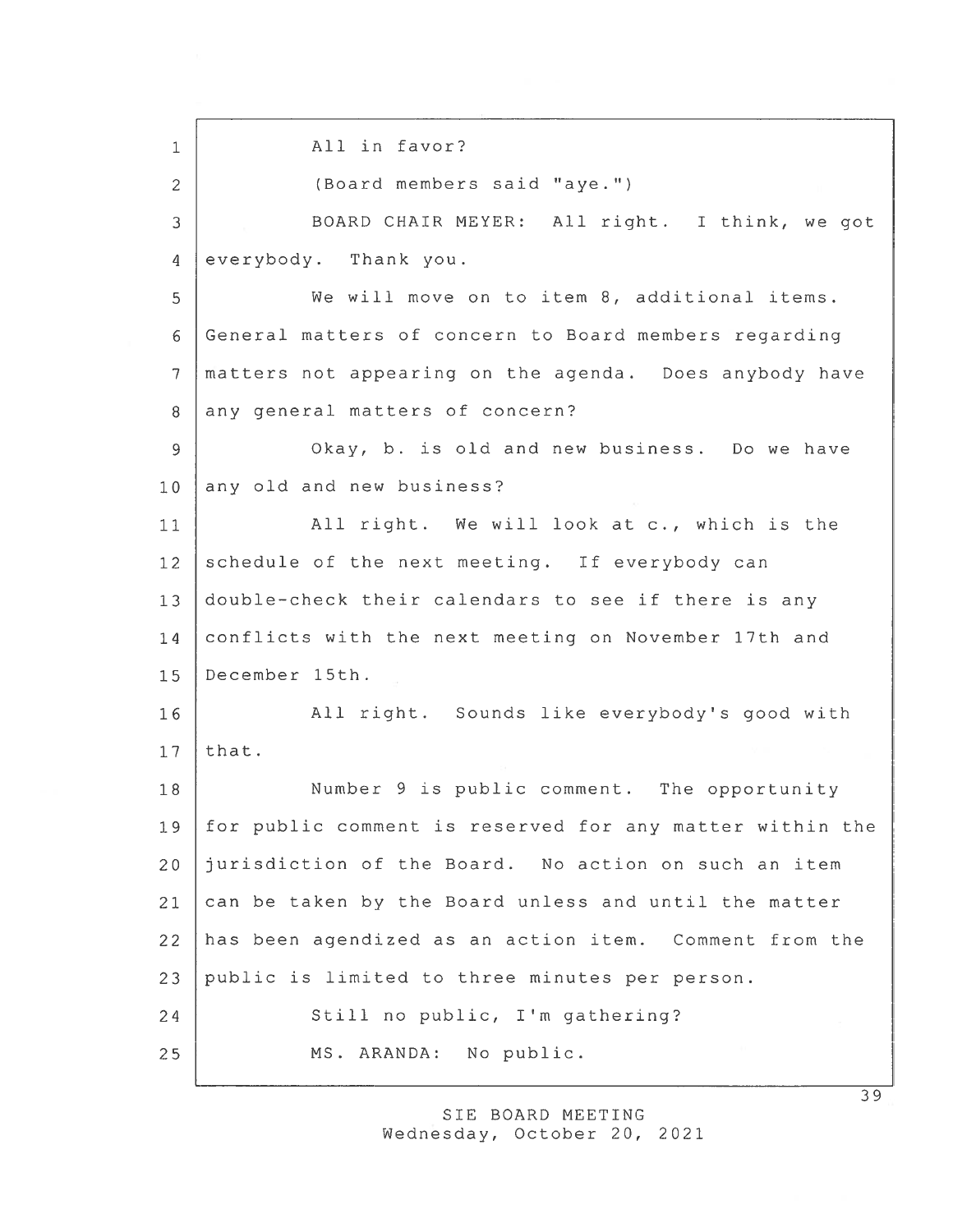1 | All in favor? 2 (Board members said "aye.") 3 BOARD CHAIR MEYER: All right. I think, we go<sup>t</sup> 4 everybody. Thank you. 5 We will move on to item 8, additional items. 6 General matters of concern to Board members regarding 7 matters not appearing on the agenda. Does anybody have 8 any general matters of concern? 9 Okay, b. is old and new business. Do we have 10 any old and new business? 11 All right. We will look at c., which is the 12 schedule of the next meeting. If everybody can 13 double-check their calendars to see if there is any 14 conflicts with the next meeting on November 17th and 15 December 15th. 16 All right. Sounds like everybody's good with  $17$  that. 18 Number 9 is public comment. The opportunity 19 for public comment is reserved for any matter within the 20 jurisdiction of the Board. No action on such an item 21 can be taken by the Board unless and until the matter 22 has been agendized as an action item. Comment from the 23 public is limited to three minutes per person. 24 Still no public, I'm gathering? 25 MS. ARANDA: No public.

> SIE BOARD MEETING Wednesday, October 20, 2021